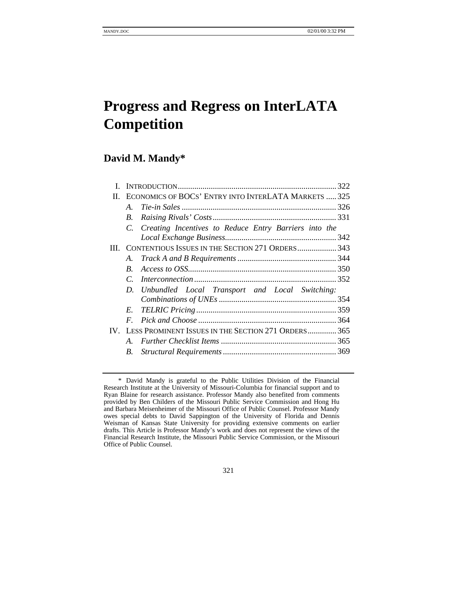# **Progress and Regress on InterLATA Competition**

# **David M. Mandy\***

| Н.   |                                                     | ECONOMICS OF BOCS' ENTRY INTO INTERLATA MARKETS  325     |  |
|------|-----------------------------------------------------|----------------------------------------------------------|--|
|      | A.                                                  |                                                          |  |
|      | B.                                                  |                                                          |  |
| III. |                                                     | C. Creating Incentives to Reduce Entry Barriers into the |  |
|      |                                                     |                                                          |  |
|      |                                                     | CONTENTIOUS ISSUES IN THE SECTION 271 ORDERS 343         |  |
|      | A.                                                  |                                                          |  |
|      | $B_{\cdot}$                                         |                                                          |  |
|      |                                                     |                                                          |  |
|      |                                                     | D. Unbundled Local Transport and Local Switching:        |  |
|      |                                                     |                                                          |  |
|      | E.                                                  |                                                          |  |
| IV.  | $\bm{F}$                                            |                                                          |  |
|      | LESS PROMINENT ISSUES IN THE SECTION 271 ORDERS 365 |                                                          |  |
|      |                                                     |                                                          |  |
|      | B.                                                  |                                                          |  |
|      |                                                     |                                                          |  |

321

<sup>\*</sup> David Mandy is grateful to the Public Utilities Division of the Financial Research Institute at the University of Missouri-Columbia for financial support and to Ryan Blaine for research assistance. Professor Mandy also benefited from comments provided by Ben Childers of the Missouri Public Service Commission and Hong Hu and Barbara Meisenheimer of the Missouri Office of Public Counsel. Professor Mandy owes special debts to David Sappington of the University of Florida and Dennis Weisman of Kansas State University for providing extensive comments on earlier drafts. This Article is Professor Mandy's work and does not represent the views of the Financial Research Institute, the Missouri Public Service Commission, or the Missouri Office of Public Counsel.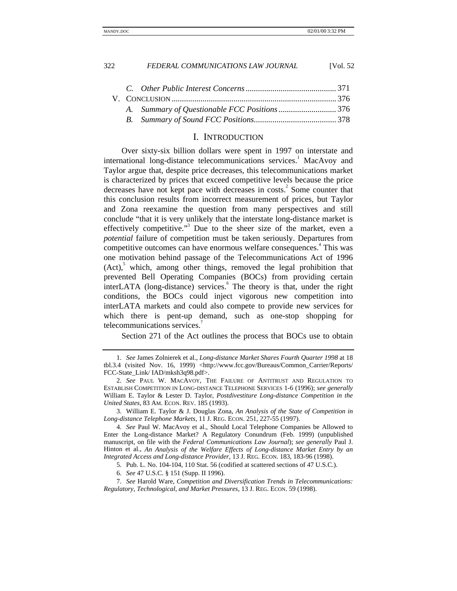# I. INTRODUCTION

Over sixty-six billion dollars were spent in 1997 on interstate and international long-distance telecommunications services.<sup>1</sup> MacAvoy and Taylor argue that, despite price decreases, this telecommunications market is characterized by prices that exceed competitive levels because the price decreases have not kept pace with decreases in costs.<sup>2</sup> Some counter that this conclusion results from incorrect measurement of prices, but Taylor and Zona reexamine the question from many perspectives and still conclude "that it is very unlikely that the interstate long-distance market is effectively competitive."<sup>3</sup> Due to the sheer size of the market, even a *potential* failure of competition must be taken seriously. Departures from competitive outcomes can have enormous welfare consequences.<sup>4</sup> This was one motivation behind passage of the Telecommunications Act of 1996  $(Act),$ <sup>5</sup> which, among other things, removed the legal prohibition that prevented Bell Operating Companies (BOCs) from providing certain interLATA (long-distance) services.<sup>6</sup> The theory is that, under the right conditions, the BOCs could inject vigorous new competition into interLATA markets and could also compete to provide new services for which there is pent-up demand, such as one-stop shopping for telecommunications services.<sup>7</sup>

Section 271 of the Act outlines the process that BOCs use to obtain

3. William E. Taylor & J. Douglas Zona, *An Analysis of the State of Competition in Long-distance Telephone Markets*, 11 J. REG. ECON. 251, 227-55 (1997).

<sup>1.</sup> *See* James Zolnierek et al., *Long-distance Market Shares Fourth Quarter 1998* at 18 tbl.3.4 (visited Nov. 16, 1999) <http://www.fcc.gov/Bureaus/Common\_Carrier/Reports/ FCC-State\_Link/ IAD/mksh3q98.pdf>.

<sup>2.</sup> *See* PAUL W. MACAVOY, THE FAILURE OF ANTITRUST AND REGULATION TO ESTABLISH COMPETITION IN LONG-DISTANCE TELEPHONE SERVICES 1-6 (1996); *see generally* William E. Taylor & Lester D. Taylor, *Postdivestiture Long-distance Competition in the United States*, 83 AM. ECON. REV. 185 (1993).

<sup>4.</sup> *See* Paul W. MacAvoy et al., Should Local Telephone Companies be Allowed to Enter the Long-distance Market? A Regulatory Conundrum (Feb. 1999) (unpublished manuscript, on file with the *Federal Communications Law Journal*); *see generally* Paul J. Hinton et al., *An Analysis of the Welfare Effects of Long-distance Market Entry by an Integrated Access and Long-distance Provider*, 13 J. REG. ECON. 183, 183-96 (1998).

<sup>5.</sup> Pub. L. No. 104-104, 110 Stat. 56 (codified at scattered sections of 47 U.S.C.).

<sup>6.</sup> *See* 47 U.S.C. § 151 (Supp. II 1996).

<sup>7.</sup> *See* Harold Ware, *Competition and Diversification Trends in Telecommunications: Regulatory, Technological, and Market Pressures,* 13 J. REG. ECON. 59 (1998).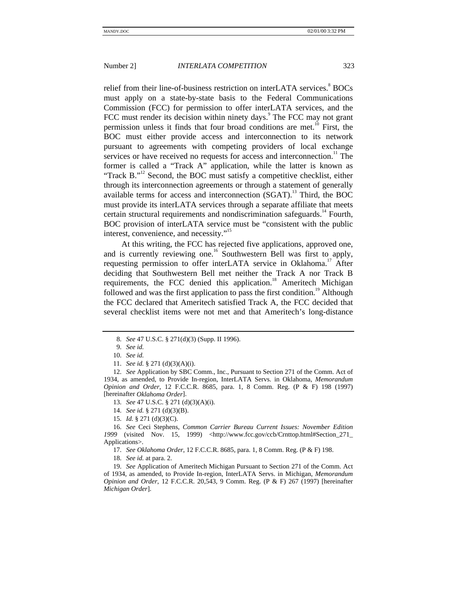relief from their line-of-business restriction on interLATA services.<sup>8</sup> BOCs must apply on a state-by-state basis to the Federal Communications Commission (FCC) for permission to offer interLATA services, and the FCC must render its decision within ninety days.<sup>9</sup> The FCC may not grant permission unless it finds that four broad conditions are met.<sup>10</sup> First, the BOC must either provide access and interconnection to its network pursuant to agreements with competing providers of local exchange services or have received no requests for access and interconnection.<sup>11</sup> The former is called a "Track A" application, while the latter is known as "Track B."<sup>12</sup> Second, the BOC must satisfy a competitive checklist, either through its interconnection agreements or through a statement of generally available terms for access and interconnection (SGAT).<sup>13</sup> Third, the BOC must provide its interLATA services through a separate affiliate that meets certain structural requirements and nondiscrimination safeguards.<sup>14</sup> Fourth, BOC provision of interLATA service must be "consistent with the public interest, convenience, and necessity."<sup>15</sup>

At this writing, the FCC has rejected five applications, approved one, and is currently reviewing one.<sup>16</sup> Southwestern Bell was first to apply, requesting permission to offer interLATA service in Oklahoma.<sup>17</sup> After deciding that Southwestern Bell met neither the Track A nor Track B requirements, the FCC denied this application.<sup>18</sup> Ameritech Michigan followed and was the first application to pass the first condition.<sup>19</sup> Although the FCC declared that Ameritech satisfied Track A, the FCC decided that several checklist items were not met and that Ameritech's long-distance

<sup>8.</sup> *See* 47 U.S.C. § 271(d)(3) (Supp. II 1996).

<sup>9.</sup> *See id.*

<sup>10.</sup> *See id.*

<sup>11.</sup> *See id.* § 271 (d)(3)(A)(i).

<sup>12.</sup> *See* Application by SBC Comm., Inc., Pursuant to Section 271 of the Comm. Act of 1934, as amended, to Provide In-region, InterLATA Servs. in Oklahoma, *Memorandum Opinion and Order*, 12 F.C.C.R. 8685, para. 1, 8 Comm. Reg. (P & F) 198 (1997) [hereinafter *Oklahoma Order*].

<sup>13.</sup> *See* 47 U.S.C. § 271 (d)(3)(A)(i).

<sup>14.</sup> *See id.* § 271 (d)(3)(B).

<sup>15.</sup> *Id.* § 271 (d)(3)(C).

<sup>16.</sup> *See* Ceci Stephens, *Common Carrier Bureau Current Issues: November Edition* 1999 (visited Nov. 15, 1999) <http://www.fcc.gov/ccb/Crnttop.html#Section\_271\_ Applications>.

<sup>17.</sup> *See Oklahoma Order*, 12 F.C.C.R. 8685, para. 1, 8 Comm. Reg. (P & F) 198.

<sup>18.</sup> *See id.* at para. 2.

<sup>19.</sup> *See* Application of Ameritech Michigan Pursuant to Section 271 of the Comm. Act of 1934, as amended, to Provide In-region, InterLATA Servs. in Michigan, *Memorandum Opinion and Order*, 12 F.C.C.R. 20,543, 9 Comm. Reg. (P & F) 267 (1997) [hereinafter *Michigan Order*].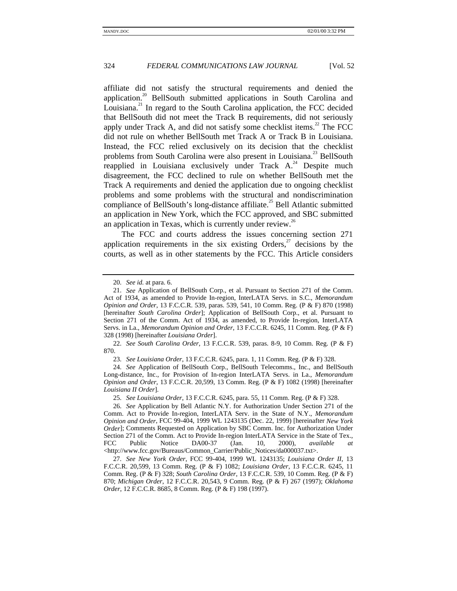affiliate did not satisfy the structural requirements and denied the application.<sup>20</sup> BellSouth submitted applications in South Carolina and Louisiana.<sup>21</sup> In regard to the South Carolina application, the FCC decided that BellSouth did not meet the Track B requirements, did not seriously apply under Track A, and did not satisfy some checklist items.<sup>22</sup> The FCC did not rule on whether BellSouth met Track A or Track B in Louisiana. Instead, the FCC relied exclusively on its decision that the checklist problems from South Carolina were also present in Louisiana.<sup>23</sup> BellSouth reapplied in Louisiana exclusively under Track  $A^{24}$  Despite much disagreement, the FCC declined to rule on whether BellSouth met the Track A requirements and denied the application due to ongoing checklist problems and some problems with the structural and nondiscrimination compliance of BellSouth's long-distance affiliate.<sup>25</sup> Bell Atlantic submitted an application in New York, which the FCC approved, and SBC submitted an application in Texas, which is currently under review.<sup>26</sup>

The FCC and courts address the issues concerning section 271 application requirements in the six existing Orders, $^{27}$  decisions by the courts, as well as in other statements by the FCC. This Article considers

22. *See South Carolina Order*, 13 F.C.C.R. 539, paras. 8-9, 10 Comm. Reg. (P & F) 870.

24. *See* Application of BellSouth Corp., BellSouth Telecomms., Inc., and BellSouth Long-distance, Inc., for Provision of In-region InterLATA Servs. in La., *Memorandum Opinion and Order*, 13 F.C.C.R. 20,599, 13 Comm. Reg. (P & F) 1082 (1998) [hereinafter *Louisiana II Order*].

<sup>20.</sup> *See id.* at para. 6.

<sup>21.</sup> *See* Application of BellSouth Corp., et al. Pursuant to Section 271 of the Comm. Act of 1934, as amended to Provide In-region, InterLATA Servs. in S.C., *Memorandum Opinion and Order*, 13 F.C.C.R. 539, paras. 539, 541, 10 Comm. Reg. (P & F) 870 (1998) [hereinafter *South Carolina Order*]; Application of BellSouth Corp., et al. Pursuant to Section 271 of the Comm. Act of 1934, as amended, to Provide In-region, InterLATA Servs. in La., *Memorandum Opinion and Order*, 13 F.C.C.R. 6245, 11 Comm. Reg. (P & F) 328 (1998) [hereinafter *Louisiana Order*].

<sup>23.</sup> *See Louisiana Order*, 13 F.C.C.R. 6245, para. 1, 11 Comm. Reg. (P & F) 328.

<sup>25.</sup> *See Louisiana Order*, 13 F.C.C.R. 6245, para. 55, 11 Comm. Reg. (P & F) 328.

<sup>26.</sup> *See* Application by Bell Atlantic N.Y. for Authorization Under Section 271 of the Comm. Act to Provide In-region, InterLATA Serv. in the State of N.Y., *Memorandum Opinion and Order*, FCC 99-404, 1999 WL 1243135 (Dec. 22, 1999) [hereinafter *New York Order*]; Comments Requested on Application by SBC Comm. Inc. for Authorization Under Section 271 of the Comm. Act to Provide In-region InterLATA Service in the State of Tex., FCC Public Notice DA00-37 (Jan. 10, 2000), *available at* <http://www.fcc.gov/Bureaus/Common\_Carrier/Public\_Notices/da000037.txt>.

<sup>27.</sup> *See New York Order*, FCC 99-404, 1999 WL 1243135; *Louisiana Order II*, 13 F.C.C.R. 20,599, 13 Comm. Reg. (P & F) 1082; *Louisiana Order*, 13 F.C.C.R. 6245, 11 Comm. Reg. (P & F) 328; *South Carolina Order*, 13 F.C.C.R. 539, 10 Comm. Reg. (P & F) 870; *Michigan Order*, 12 F.C.C.R. 20,543, 9 Comm. Reg. (P & F) 267 (1997); *Oklahoma Order*, 12 F.C.C.R. 8685, 8 Comm. Reg. (P & F) 198 (1997).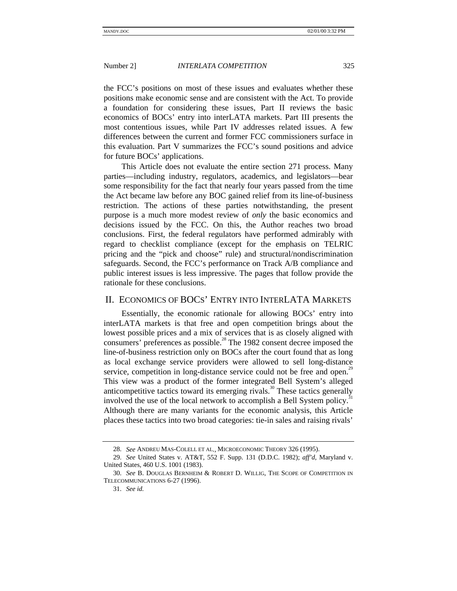the FCC's positions on most of these issues and evaluates whether these positions make economic sense and are consistent with the Act. To provide a foundation for considering these issues, Part II reviews the basic economics of BOCs' entry into interLATA markets. Part III presents the most contentious issues, while Part IV addresses related issues. A few differences between the current and former FCC commissioners surface in this evaluation. Part V summarizes the FCC's sound positions and advice for future BOCs' applications.

This Article does not evaluate the entire section 271 process. Many parties—including industry, regulators, academics, and legislators—bear some responsibility for the fact that nearly four years passed from the time the Act became law before any BOC gained relief from its line-of-business restriction. The actions of these parties notwithstanding, the present purpose is a much more modest review of *only* the basic economics and decisions issued by the FCC. On this, the Author reaches two broad conclusions. First, the federal regulators have performed admirably with regard to checklist compliance (except for the emphasis on TELRIC pricing and the "pick and choose" rule) and structural/nondiscrimination safeguards. Second, the FCC's performance on Track A/B compliance and public interest issues is less impressive. The pages that follow provide the rationale for these conclusions.

# II. ECONOMICS OF BOCS' ENTRY INTO INTERLATA MARKETS

Essentially, the economic rationale for allowing BOCs' entry into interLATA markets is that free and open competition brings about the lowest possible prices and a mix of services that is as closely aligned with consumers' preferences as possible.<sup>28</sup> The 1982 consent decree imposed the line-of-business restriction only on BOCs after the court found that as long as local exchange service providers were allowed to sell long-distance service, competition in long-distance service could not be free and open.<sup>29</sup> This view was a product of the former integrated Bell System's alleged anticompetitive tactics toward its emerging rivals.<sup>30</sup> These tactics generally involved the use of the local network to accomplish a Bell System policy.<sup>31</sup> Although there are many variants for the economic analysis, this Article places these tactics into two broad categories: tie-in sales and raising rivals'

<sup>28.</sup> *See* ANDREU MAS-COLELL ET AL*.,* MICROECONOMIC THEORY 326 (1995).

<sup>29.</sup> *See* United States v. AT&T, 552 F. Supp. 131 (D.D.C. 1982); *aff'd*, Maryland v. United States, 460 U.S. 1001 (1983).

<sup>30.</sup> *See* B. DOUGLAS BERNHEIM & ROBERT D. WILLIG, THE SCOPE OF COMPETITION IN TELECOMMUNICATIONS 6-27 (1996).

<sup>31.</sup> *See id.*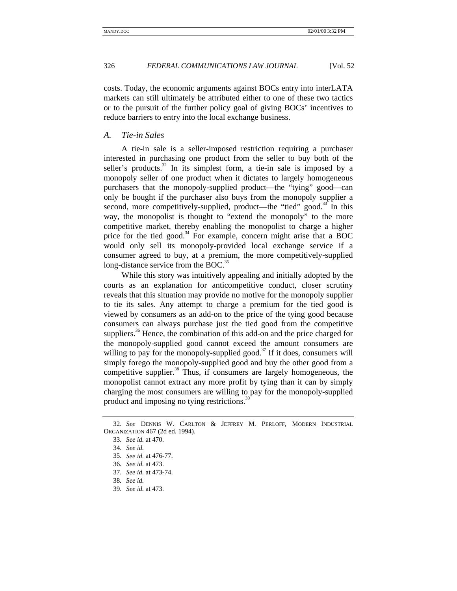costs. Today, the economic arguments against BOCs entry into interLATA markets can still ultimately be attributed either to one of these two tactics or to the pursuit of the further policy goal of giving BOCs' incentives to reduce barriers to entry into the local exchange business.

# *A. Tie-in Sales*

A tie-in sale is a seller-imposed restriction requiring a purchaser interested in purchasing one product from the seller to buy both of the seller's products.<sup>32</sup> In its simplest form, a tie-in sale is imposed by a monopoly seller of one product when it dictates to largely homogeneous purchasers that the monopoly-supplied product—the "tying" good—can only be bought if the purchaser also buys from the monopoly supplier a second, more competitively-supplied, product—the "tied" good.<sup>33</sup> In this way, the monopolist is thought to "extend the monopoly" to the more competitive market, thereby enabling the monopolist to charge a higher price for the tied good.<sup>34</sup> For example, concern might arise that a BOC would only sell its monopoly-provided local exchange service if a consumer agreed to buy, at a premium, the more competitively-supplied long-distance service from the BOC.<sup>35</sup>

While this story was intuitively appealing and initially adopted by the courts as an explanation for anticompetitive conduct, closer scrutiny reveals that this situation may provide no motive for the monopoly supplier to tie its sales. Any attempt to charge a premium for the tied good is viewed by consumers as an add-on to the price of the tying good because consumers can always purchase just the tied good from the competitive suppliers.<sup>36</sup> Hence, the combination of this add-on and the price charged for the monopoly-supplied good cannot exceed the amount consumers are willing to pay for the monopoly-supplied good.<sup>37</sup> If it does, consumers will simply forego the monopoly-supplied good and buy the other good from a competitive supplier.<sup>38</sup> Thus, if consumers are largely homogeneous, the monopolist cannot extract any more profit by tying than it can by simply charging the most consumers are willing to pay for the monopoly-supplied product and imposing no tying restrictions.<sup>3</sup>

<sup>32.</sup> *See* DENNIS W. CARLTON & JEFFREY M. PERLOFF, MODERN INDUSTRIAL ORGANIZATION 467 (2d ed. 1994).

<sup>33.</sup> *See id.* at 470.

<sup>34.</sup> *See id.*

<sup>35.</sup> *See id.* at 476-77.

<sup>36</sup>*. See id.* at 473.

<sup>37.</sup> *See id.* at 473-74.

<sup>38</sup>*. See id.*

<sup>39.</sup> *See id.* at 473.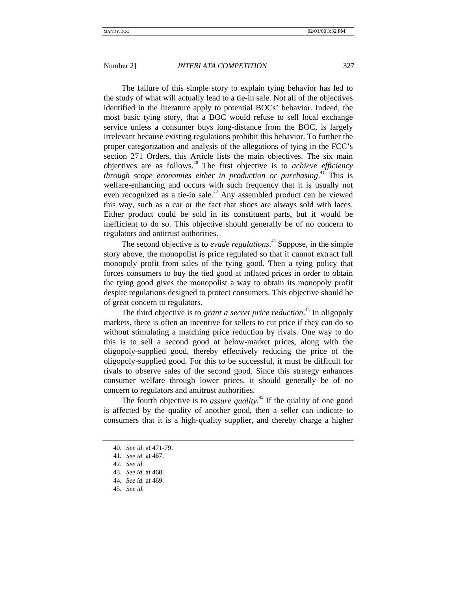The failure of this simple story to explain tying behavior has led to the study of what will actually lead to a tie-in sale. Not all of the objectives identified in the literature apply to potential BOCs' behavior. Indeed, the most basic tying story, that a BOC would refuse to sell local exchange service unless a consumer buys long-distance from the BOC, is largely irrelevant because existing regulations prohibit this behavior. To further the proper categorization and analysis of the allegations of tying in the FCC's section 271 Orders, this Article lists the main objectives. The six main objectives are as follows.40 The first objective is to *achieve efficiency through scope economies either in production or purchasing*. 41 This is welfare-enhancing and occurs with such frequency that it is usually not even recognized as a tie-in sale.<sup>42</sup> Any assembled product can be viewed this way, such as a car or the fact that shoes are always sold with laces. Either product could be sold in its constituent parts, but it would be inefficient to do so. This objective should generally be of no concern to regulators and antitrust authorities.

The second objective is to *evade regulations*. 43 Suppose, in the simple story above, the monopolist is price regulated so that it cannot extract full monopoly profit from sales of the tying good. Then a tying policy that forces consumers to buy the tied good at inflated prices in order to obtain the tying good gives the monopolist a way to obtain its monopoly profit despite regulations designed to protect consumers. This objective should be of great concern to regulators.

The third objective is to *grant a secret price reduction*. 44 In oligopoly markets, there is often an incentive for sellers to cut price if they can do so without stimulating a matching price reduction by rivals. One way to do this is to sell a second good at below-market prices, along with the oligopoly-supplied good, thereby effectively reducing the price of the oligopoly-supplied good. For this to be successful, it must be difficult for rivals to observe sales of the second good. Since this strategy enhances consumer welfare through lower prices, it should generally be of no concern to regulators and antitrust authorities.

The fourth objective is to *assure quality*. 45 If the quality of one good is affected by the quality of another good, then a seller can indicate to consumers that it is a high-quality supplier, and thereby charge a higher

<sup>40.</sup> *See id.* at 471-79.

<sup>41.</sup> *See id.* at 467.

<sup>42.</sup> *See id.*

<sup>43.</sup> *See id.* at 468.

<sup>44.</sup> *See id.* at 469.

<sup>45.</sup> *See id.*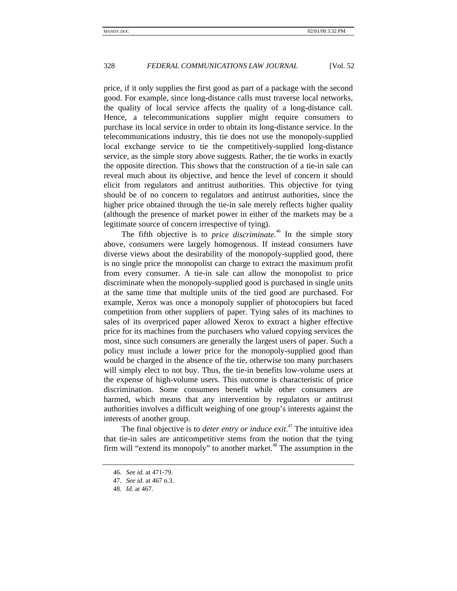price, if it only supplies the first good as part of a package with the second good. For example, since long-distance calls must traverse local networks, the quality of local service affects the quality of a long-distance call. Hence, a telecommunications supplier might require consumers to purchase its local service in order to obtain its long-distance service. In the telecommunications industry, this tie does not use the monopoly-supplied local exchange service to tie the competitively-supplied long-distance service, as the simple story above suggests. Rather, the tie works in exactly the opposite direction. This shows that the construction of a tie-in sale can reveal much about its objective, and hence the level of concern it should elicit from regulators and antitrust authorities. This objective for tying should be of no concern to regulators and antitrust authorities, since the higher price obtained through the tie-in sale merely reflects higher quality (although the presence of market power in either of the markets may be a legitimate source of concern irrespective of tying).

The fifth objective is to *price discriminate*. 46 In the simple story above, consumers were largely homogenous. If instead consumers have diverse views about the desirability of the monopoly-supplied good, there is no single price the monopolist can charge to extract the maximum profit from every consumer. A tie-in sale can allow the monopolist to price discriminate when the monopoly-supplied good is purchased in single units at the same time that multiple units of the tied good are purchased. For example, Xerox was once a monopoly supplier of photocopiers but faced competition from other suppliers of paper. Tying sales of its machines to sales of its overpriced paper allowed Xerox to extract a higher effective price for its machines from the purchasers who valued copying services the most, since such consumers are generally the largest users of paper. Such a policy must include a lower price for the monopoly-supplied good than would be charged in the absence of the tie, otherwise too many purchasers will simply elect to not buy. Thus, the tie-in benefits low-volume users at the expense of high-volume users. This outcome is characteristic of price discrimination. Some consumers benefit while other consumers are harmed, which means that any intervention by regulators or antitrust authorities involves a difficult weighing of one group's interests against the interests of another group.

The final objective is to *deter entry or induce exit*. 47 The intuitive idea that tie-in sales are anticompetitive stems from the notion that the tying firm will "extend its monopoly" to another market.<sup>48</sup> The assumption in the

<sup>46.</sup> *See id.* at 471-79.

<sup>47.</sup> *See id.* at 467 n.3.

<sup>48.</sup> *Id.* at 467.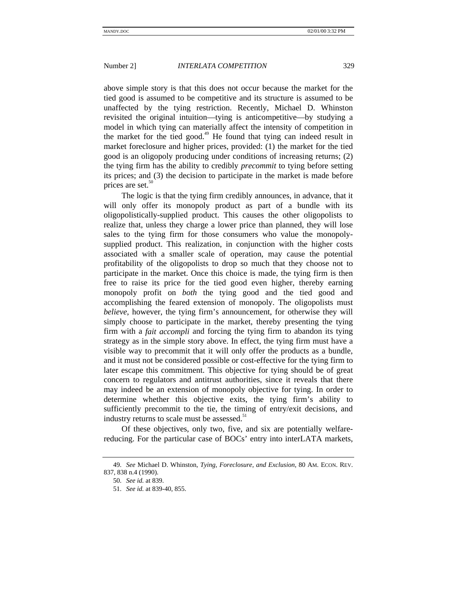above simple story is that this does not occur because the market for the tied good is assumed to be competitive and its structure is assumed to be unaffected by the tying restriction. Recently, Michael D. Whinston revisited the original intuition—tying is anticompetitive—by studying a model in which tying can materially affect the intensity of competition in the market for the tied good.<sup> $49$ </sup> He found that tying can indeed result in market foreclosure and higher prices, provided: (1) the market for the tied good is an oligopoly producing under conditions of increasing returns; (2) the tying firm has the ability to credibly *precommit* to tying before setting its prices; and (3) the decision to participate in the market is made before prices are set.<sup>50</sup>

The logic is that the tying firm credibly announces, in advance, that it will only offer its monopoly product as part of a bundle with its oligopolistically-supplied product. This causes the other oligopolists to realize that, unless they charge a lower price than planned, they will lose sales to the tying firm for those consumers who value the monopolysupplied product. This realization, in conjunction with the higher costs associated with a smaller scale of operation, may cause the potential profitability of the oligopolists to drop so much that they choose not to participate in the market. Once this choice is made, the tying firm is then free to raise its price for the tied good even higher, thereby earning monopoly profit on *both* the tying good and the tied good and accomplishing the feared extension of monopoly. The oligopolists must *believe*, however, the tying firm's announcement, for otherwise they will simply choose to participate in the market, thereby presenting the tying firm with a *fait accompli* and forcing the tying firm to abandon its tying strategy as in the simple story above. In effect, the tying firm must have a visible way to precommit that it will only offer the products as a bundle, and it must not be considered possible or cost-effective for the tying firm to later escape this commitment. This objective for tying should be of great concern to regulators and antitrust authorities, since it reveals that there may indeed be an extension of monopoly objective for tying. In order to determine whether this objective exits, the tying firm's ability to sufficiently precommit to the tie, the timing of entry/exit decisions, and industry returns to scale must be assessed.<sup>51</sup>

Of these objectives, only two, five, and six are potentially welfarereducing. For the particular case of BOCs' entry into interLATA markets,

<sup>49.</sup> *See* Michael D. Whinston, *Tying, Foreclosure, and Exclusion*, 80 AM. ECON. REV. 837, 838 n.4 (1990).

<sup>50.</sup> *See id.* at 839.

<sup>51.</sup> *See id.* at 839-40, 855.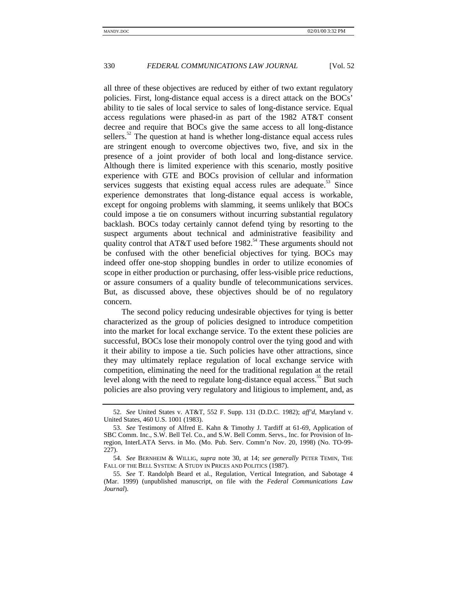all three of these objectives are reduced by either of two extant regulatory policies. First, long-distance equal access is a direct attack on the BOCs' ability to tie sales of local service to sales of long-distance service. Equal access regulations were phased-in as part of the 1982 AT&T consent decree and require that BOCs give the same access to all long-distance sellers.<sup>52</sup> The question at hand is whether long-distance equal access rules are stringent enough to overcome objectives two, five, and six in the presence of a joint provider of both local and long-distance service. Although there is limited experience with this scenario, mostly positive experience with GTE and BOCs provision of cellular and information services suggests that existing equal access rules are adequate.<sup>53</sup> Since experience demonstrates that long-distance equal access is workable, except for ongoing problems with slamming, it seems unlikely that BOCs could impose a tie on consumers without incurring substantial regulatory backlash. BOCs today certainly cannot defend tying by resorting to the suspect arguments about technical and administrative feasibility and quality control that AT&T used before  $1982$ .<sup>54</sup> These arguments should not be confused with the other beneficial objectives for tying. BOCs may indeed offer one-stop shopping bundles in order to utilize economies of scope in either production or purchasing, offer less-visible price reductions, or assure consumers of a quality bundle of telecommunications services. But, as discussed above, these objectives should be of no regulatory concern.

The second policy reducing undesirable objectives for tying is better characterized as the group of policies designed to introduce competition into the market for local exchange service. To the extent these policies are successful, BOCs lose their monopoly control over the tying good and with it their ability to impose a tie. Such policies have other attractions, since they may ultimately replace regulation of local exchange service with competition, eliminating the need for the traditional regulation at the retail level along with the need to regulate long-distance equal access.<sup>35</sup> But such policies are also proving very regulatory and litigious to implement, and, as

<sup>52.</sup> *See* United States v. AT&T, 552 F. Supp. 131 (D.D.C. 1982); *aff'd*, Maryland v. United States, 460 U.S. 1001 (1983).

<sup>53.</sup> *See* Testimony of Alfred E. Kahn & Timothy J. Tardiff at 61-69, Application of SBC Comm. Inc., S.W. Bell Tel. Co., and S.W. Bell Comm. Servs., Inc. for Provision of Inregion, InterLATA Servs. in Mo. (Mo. Pub. Serv. Comm'n Nov. 20, 1998) (No. TO-99- 227).

<sup>54.</sup> *See* BERNHEIM & WILLIG, *supra* note 30, at 14; *see generally* PETER TEMIN, THE FALL OF THE BELL SYSTEM: A STUDY IN PRICES AND POLITICS (1987).

<sup>55.</sup> *See* T. Randolph Beard et al., Regulation, Vertical Integration, and Sabotage 4 (Mar. 1999) (unpublished manuscript, on file with the *Federal Communications Law Journal*).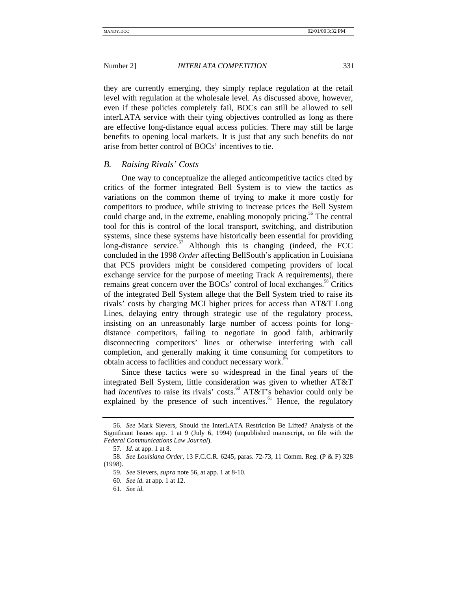they are currently emerging, they simply replace regulation at the retail level with regulation at the wholesale level. As discussed above, however, even if these policies completely fail, BOCs can still be allowed to sell interLATA service with their tying objectives controlled as long as there are effective long-distance equal access policies. There may still be large benefits to opening local markets. It is just that any such benefits do not arise from better control of BOCs' incentives to tie.

# *B. Raising Rivals' Costs*

One way to conceptualize the alleged anticompetitive tactics cited by critics of the former integrated Bell System is to view the tactics as variations on the common theme of trying to make it more costly for competitors to produce, while striving to increase prices the Bell System could charge and, in the extreme, enabling monopoly pricing.<sup>56</sup> The central tool for this is control of the local transport, switching, and distribution systems, since these systems have historically been essential for providing long-distance service. $57$  Although this is changing (indeed, the FCC concluded in the 1998 *Order* affecting BellSouth's application in Louisiana that PCS providers might be considered competing providers of local exchange service for the purpose of meeting Track A requirements), there remains great concern over the BOCs' control of local exchanges.<sup>38</sup> Critics of the integrated Bell System allege that the Bell System tried to raise its rivals' costs by charging MCI higher prices for access than AT&T Long Lines, delaying entry through strategic use of the regulatory process, insisting on an unreasonably large number of access points for longdistance competitors, failing to negotiate in good faith, arbitrarily disconnecting competitors' lines or otherwise interfering with call completion, and generally making it time consuming for competitors to obtain access to facilities and conduct necessary work.<sup>3</sup>

Since these tactics were so widespread in the final years of the integrated Bell System, little consideration was given to whether AT&T had *incentives* to raise its rivals' costs.<sup>60</sup> AT&T's behavior could only be explained by the presence of such incentives.<sup>61</sup> Hence, the regulatory

<sup>56.</sup> *See* Mark Sievers, Should the InterLATA Restriction Be Lifted? Analysis of the Significant Issues app. 1 at 9 (July 6, 1994) (unpublished manuscript, on file with the *Federal Communications Law Journal*).

<sup>57.</sup> *Id.* at app. 1 at 8.

<sup>58.</sup> *See Louisiana Order*, 13 F.C.C.R. 6245, paras. 72-73, 11 Comm. Reg. (P & F) 328 (1998).

<sup>59.</sup> *See* Sievers, *supra* note 56, at app. 1 at 8-10.

<sup>60.</sup> *See id.* at app. 1 at 12.

<sup>61.</sup> *See id.*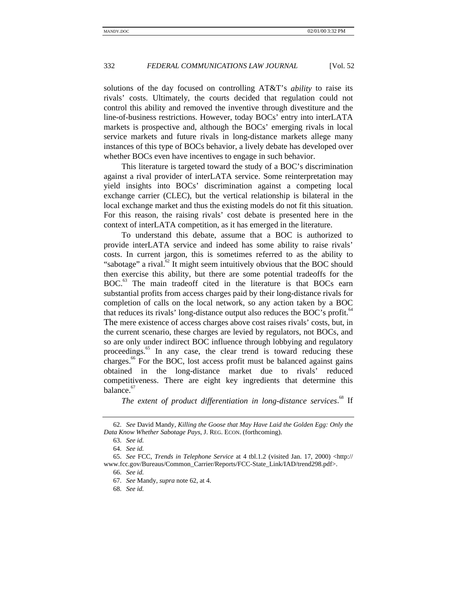solutions of the day focused on controlling AT&T's *ability* to raise its rivals' costs. Ultimately, the courts decided that regulation could not control this ability and removed the inventive through divestiture and the line-of-business restrictions. However, today BOCs' entry into interLATA markets is prospective and, although the BOCs' emerging rivals in local service markets and future rivals in long-distance markets allege many instances of this type of BOCs behavior, a lively debate has developed over whether BOCs even have incentives to engage in such behavior.

This literature is targeted toward the study of a BOC's discrimination against a rival provider of interLATA service. Some reinterpretation may yield insights into BOCs' discrimination against a competing local exchange carrier (CLEC), but the vertical relationship is bilateral in the local exchange market and thus the existing models do not fit this situation. For this reason, the raising rivals' cost debate is presented here in the context of interLATA competition, as it has emerged in the literature.

To understand this debate, assume that a BOC is authorized to provide interLATA service and indeed has some ability to raise rivals' costs. In current jargon, this is sometimes referred to as the ability to "sabotage" a rival. $^{62}$  It might seem intuitively obvious that the BOC should then exercise this ability, but there are some potential tradeoffs for the BOC.<sup>63</sup> The main tradeoff cited in the literature is that BOCs earn substantial profits from access charges paid by their long-distance rivals for completion of calls on the local network, so any action taken by a BOC that reduces its rivals' long-distance output also reduces the BOC's profit.<sup> $64$ </sup> The mere existence of access charges above cost raises rivals' costs, but, in the current scenario, these charges are levied by regulators, not BOCs, and so are only under indirect BOC influence through lobbying and regulatory proceedings.<sup>65</sup> In any case, the clear trend is toward reducing these charges.<sup>66</sup> For the BOC, lost access profit must be balanced against gains obtained in the long-distance market due to rivals' reduced competitiveness. There are eight key ingredients that determine this balance. $67$ 

*The extent of product differentiation in long-distance services*. 68 If

<sup>62.</sup> *See* David Mandy, *Killing the Goose that May Have Laid the Golden Egg: Only the Data Know Whether Sabotage Pays*, J. REG. ECON. (forthcoming).

<sup>63.</sup> *See id.*

<sup>64.</sup> *See id.*

<sup>65.</sup> *See* FCC, *Trends in Telephone Service* at 4 tbl.1.2 (visited Jan. 17, 2000) <http:// www.fcc.gov/Bureaus/Common\_Carrier/Reports/FCC-State\_Link/IAD/trend298.pdf>.

<sup>66.</sup> *See id.*

<sup>67.</sup> *See* Mandy, *supra* note 62, at 4.

<sup>68.</sup> *See id.*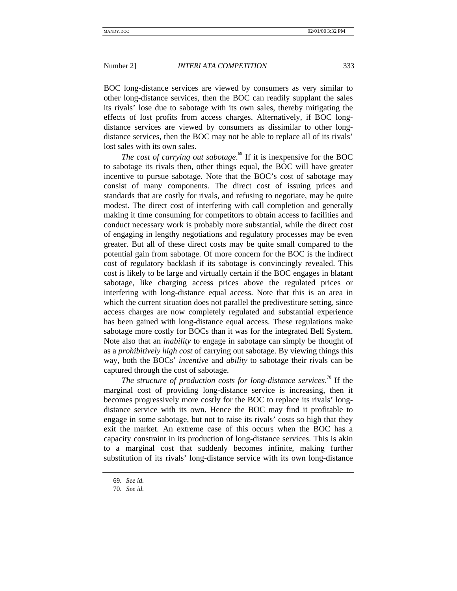BOC long-distance services are viewed by consumers as very similar to other long-distance services, then the BOC can readily supplant the sales its rivals' lose due to sabotage with its own sales, thereby mitigating the effects of lost profits from access charges. Alternatively, if BOC longdistance services are viewed by consumers as dissimilar to other longdistance services, then the BOC may not be able to replace all of its rivals' lost sales with its own sales.

*The cost of carrying out sabotage*. 69 If it is inexpensive for the BOC to sabotage its rivals then, other things equal, the BOC will have greater incentive to pursue sabotage. Note that the BOC's cost of sabotage may consist of many components. The direct cost of issuing prices and standards that are costly for rivals, and refusing to negotiate, may be quite modest. The direct cost of interfering with call completion and generally making it time consuming for competitors to obtain access to facilities and conduct necessary work is probably more substantial, while the direct cost of engaging in lengthy negotiations and regulatory processes may be even greater. But all of these direct costs may be quite small compared to the potential gain from sabotage. Of more concern for the BOC is the indirect cost of regulatory backlash if its sabotage is convincingly revealed. This cost is likely to be large and virtually certain if the BOC engages in blatant sabotage, like charging access prices above the regulated prices or interfering with long-distance equal access. Note that this is an area in which the current situation does not parallel the predivestiture setting, since access charges are now completely regulated and substantial experience has been gained with long-distance equal access. These regulations make sabotage more costly for BOCs than it was for the integrated Bell System. Note also that an *inability* to engage in sabotage can simply be thought of as a *prohibitively high cost* of carrying out sabotage. By viewing things this way, both the BOCs' *incentive* and *ability* to sabotage their rivals can be captured through the cost of sabotage.

*The structure of production costs for long-distance services*. 70 If the marginal cost of providing long-distance service is increasing, then it becomes progressively more costly for the BOC to replace its rivals' longdistance service with its own. Hence the BOC may find it profitable to engage in some sabotage, but not to raise its rivals' costs so high that they exit the market. An extreme case of this occurs when the BOC has a capacity constraint in its production of long-distance services. This is akin to a marginal cost that suddenly becomes infinite, making further substitution of its rivals' long-distance service with its own long-distance

<sup>69.</sup> *See id.*

<sup>70.</sup> *See id.*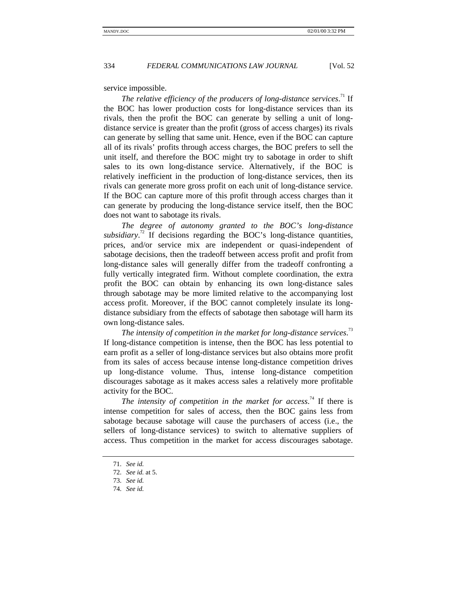service impossible.

The relative efficiency of the producers of long-distance services.<sup>71</sup> If the BOC has lower production costs for long-distance services than its rivals, then the profit the BOC can generate by selling a unit of longdistance service is greater than the profit (gross of access charges) its rivals can generate by selling that same unit. Hence, even if the BOC can capture all of its rivals' profits through access charges, the BOC prefers to sell the unit itself, and therefore the BOC might try to sabotage in order to shift sales to its own long-distance service. Alternatively, if the BOC is relatively inefficient in the production of long-distance services, then its rivals can generate more gross profit on each unit of long-distance service. If the BOC can capture more of this profit through access charges than it can generate by producing the long-distance service itself, then the BOC does not want to sabotage its rivals.

*The degree of autonomy granted to the BOC's long-distance* subsidiary.<sup>72</sup> If decisions regarding the BOC's long-distance quantities, prices, and/or service mix are independent or quasi-independent of sabotage decisions, then the tradeoff between access profit and profit from long-distance sales will generally differ from the tradeoff confronting a fully vertically integrated firm. Without complete coordination, the extra profit the BOC can obtain by enhancing its own long-distance sales through sabotage may be more limited relative to the accompanying lost access profit. Moreover, if the BOC cannot completely insulate its longdistance subsidiary from the effects of sabotage then sabotage will harm its own long-distance sales.

The intensity of competition in the market for long-distance services.<sup>73</sup> If long-distance competition is intense, then the BOC has less potential to earn profit as a seller of long-distance services but also obtains more profit from its sales of access because intense long-distance competition drives up long-distance volume. Thus, intense long-distance competition discourages sabotage as it makes access sales a relatively more profitable activity for the BOC.

The intensity of competition in the market for access.<sup>74</sup> If there is intense competition for sales of access, then the BOC gains less from sabotage because sabotage will cause the purchasers of access (i.e., the sellers of long-distance services) to switch to alternative suppliers of access. Thus competition in the market for access discourages sabotage.

<sup>71.</sup> *See id.*

<sup>72.</sup> *See id.* at 5.

<sup>73.</sup> *See id.*

<sup>74.</sup> *See id.*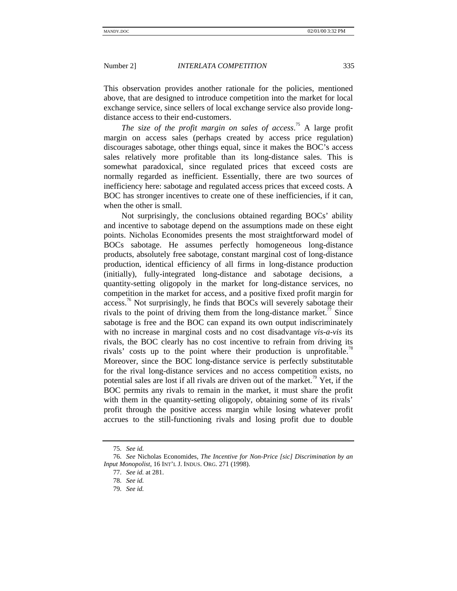This observation provides another rationale for the policies, mentioned above, that are designed to introduce competition into the market for local exchange service, since sellers of local exchange service also provide longdistance access to their end-customers.

*The size of the profit margin on sales of access*. 75 A large profit margin on access sales (perhaps created by access price regulation) discourages sabotage, other things equal, since it makes the BOC's access sales relatively more profitable than its long-distance sales. This is somewhat paradoxical, since regulated prices that exceed costs are normally regarded as inefficient. Essentially, there are two sources of inefficiency here: sabotage and regulated access prices that exceed costs. A BOC has stronger incentives to create one of these inefficiencies, if it can, when the other is small.

Not surprisingly, the conclusions obtained regarding BOCs' ability and incentive to sabotage depend on the assumptions made on these eight points. Nicholas Economides presents the most straightforward model of BOCs sabotage. He assumes perfectly homogeneous long-distance products, absolutely free sabotage, constant marginal cost of long-distance production, identical efficiency of all firms in long-distance production (initially), fully-integrated long-distance and sabotage decisions, a quantity-setting oligopoly in the market for long-distance services, no competition in the market for access, and a positive fixed profit margin for  $access$ <sup> $\frac{76}{6}$ </sup> Not surprisingly, he finds that BOCs will severely sabotage their rivals to the point of driving them from the long-distance market.<sup> $\pi$ </sup> Since sabotage is free and the BOC can expand its own output indiscriminately with no increase in marginal costs and no cost disadvantage *vis-a-vis* its rivals, the BOC clearly has no cost incentive to refrain from driving its rivals' costs up to the point where their production is unprofitable.<sup>18</sup> Moreover, since the BOC long-distance service is perfectly substitutable for the rival long-distance services and no access competition exists, no potential sales are lost if all rivals are driven out of the market.<sup>19</sup> Yet, if the BOC permits any rivals to remain in the market, it must share the profit with them in the quantity-setting oligopoly, obtaining some of its rivals' profit through the positive access margin while losing whatever profit accrues to the still-functioning rivals and losing profit due to double

<sup>75.</sup> *See id.*

<sup>76.</sup> *See* Nicholas Economides, *The Incentive for Non-Price [sic] Discrimination by an Input Monopolist*, 16 INT'L J. INDUS. ORG. 271 (1998).

<sup>77.</sup> *See id.* at 281.

<sup>78.</sup> *See id.*

<sup>79.</sup> *See id.*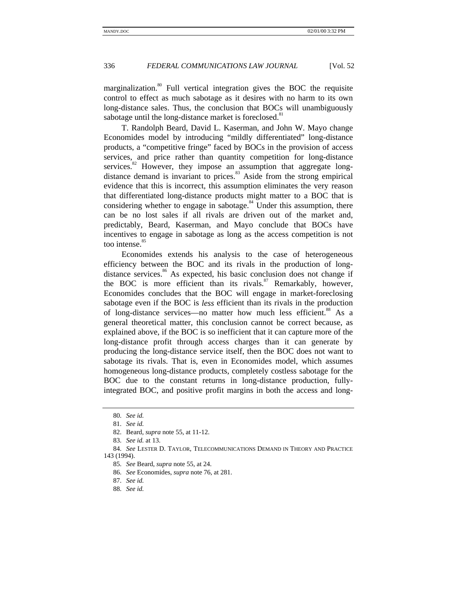marginalization.<sup>80</sup> Full vertical integration gives the BOC the requisite control to effect as much sabotage as it desires with no harm to its own long-distance sales. Thus, the conclusion that BOCs will unambiguously sabotage until the long-distance market is foreclosed.<sup>81</sup>

T. Randolph Beard, David L. Kaserman, and John W. Mayo change Economides model by introducing "mildly differentiated" long-distance products, a "competitive fringe" faced by BOCs in the provision of access services, and price rather than quantity competition for long-distance services. $82$  However, they impose an assumption that aggregate longdistance demand is invariant to prices.<sup>83</sup> Aside from the strong empirical evidence that this is incorrect, this assumption eliminates the very reason that differentiated long-distance products might matter to a BOC that is considering whether to engage in sabotage. $84$  Under this assumption, there can be no lost sales if all rivals are driven out of the market and, predictably, Beard, Kaserman, and Mayo conclude that BOCs have incentives to engage in sabotage as long as the access competition is not too intense. $\frac{85}{5}$ 

Economides extends his analysis to the case of heterogeneous efficiency between the BOC and its rivals in the production of longdistance services. $86$  As expected, his basic conclusion does not change if the BOC is more efficient than its rivals. $87$  Remarkably, however, Economides concludes that the BOC will engage in market-foreclosing sabotage even if the BOC is *less* efficient than its rivals in the production of long-distance services—no matter how much less efficient.<sup>88</sup> As a general theoretical matter, this conclusion cannot be correct because, as explained above, if the BOC is so inefficient that it can capture more of the long-distance profit through access charges than it can generate by producing the long-distance service itself, then the BOC does not want to sabotage its rivals. That is, even in Economides model, which assumes homogeneous long-distance products, completely costless sabotage for the BOC due to the constant returns in long-distance production, fullyintegrated BOC, and positive profit margins in both the access and long-

<sup>80.</sup> *See id.*

<sup>81.</sup> *See id.*

<sup>82.</sup> Beard, *supra* note 55, at 11-12.

<sup>83.</sup> *See id.* at 13.

<sup>84.</sup> *See* LESTER D. TAYLOR, TELECOMMUNICATIONS DEMAND IN THEORY AND PRACTICE 143 (1994).

<sup>85.</sup> *See* Beard, *supra* note 55, at 24.

<sup>86.</sup> *See* Economides, *supra* note 76, at 281.

<sup>87.</sup> *See id.*

<sup>88.</sup> *See id.*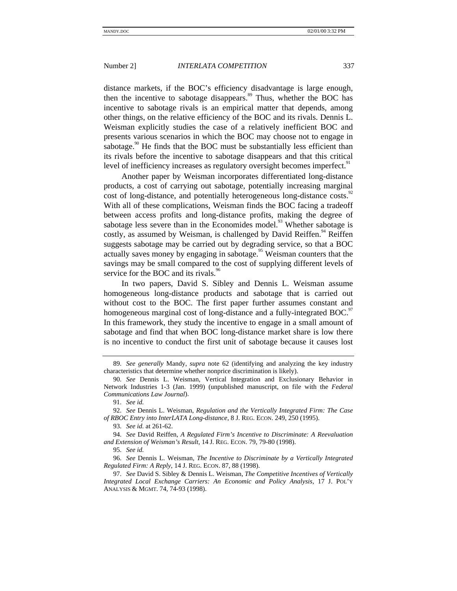distance markets, if the BOC's efficiency disadvantage is large enough, then the incentive to sabotage disappears.<sup>89</sup> Thus, whether the BOC has incentive to sabotage rivals is an empirical matter that depends, among other things, on the relative efficiency of the BOC and its rivals. Dennis L. Weisman explicitly studies the case of a relatively inefficient BOC and presents various scenarios in which the BOC may choose not to engage in sabotage.<sup>90</sup> He finds that the BOC must be substantially less efficient than its rivals before the incentive to sabotage disappears and that this critical level of inefficiency increases as regulatory oversight becomes imperfect.<sup>91</sup>

Another paper by Weisman incorporates differentiated long-distance products, a cost of carrying out sabotage, potentially increasing marginal cost of long-distance, and potentially heterogeneous long-distance costs.<sup>92</sup> With all of these complications, Weisman finds the BOC facing a tradeoff between access profits and long-distance profits, making the degree of sabotage less severe than in the Economides model.<sup>93</sup> Whether sabotage is costly, as assumed by Weisman, is challenged by David Reiffen.<sup>94</sup> Reiffen suggests sabotage may be carried out by degrading service, so that a BOC actually saves money by engaging in sabotage.<sup>95</sup> Weisman counters that the savings may be small compared to the cost of supplying different levels of service for the BOC and its rivals.<sup>96</sup>

In two papers, David S. Sibley and Dennis L. Weisman assume homogeneous long-distance products and sabotage that is carried out without cost to the BOC. The first paper further assumes constant and homogeneous marginal cost of long-distance and a fully-integrated BOC.<sup>97</sup> In this framework, they study the incentive to engage in a small amount of sabotage and find that when BOC long-distance market share is low there is no incentive to conduct the first unit of sabotage because it causes lost

<sup>89.</sup> *See generally* Mandy, *supra* note 62 (identifying and analyzing the key industry characteristics that determine whether nonprice discrimination is likely).

<sup>90.</sup> *See* Dennis L. Weisman, Vertical Integration and Exclusionary Behavior in Network Industries 1-3 (Jan. 1999) (unpublished manuscript, on file with the *Federal Communications Law Journal*).

<sup>91.</sup> *See id.*

<sup>92.</sup> *See* Dennis L. Weisman, *Regulation and the Vertically Integrated Firm: The Case of RBOC Entry into InterLATA Long-distance*, 8 J. REG. ECON. 249, 250 (1995).

<sup>93.</sup> *See id.* at 261-62.

<sup>94.</sup> *See* David Reiffen, *A Regulated Firm's Incentive to Discriminate: A Reevaluation and Extension of Weisman's Result*, 14 J. REG. ECON. 79, 79-80 (1998).

<sup>95.</sup> *See id.*

<sup>96.</sup> *See* Dennis L. Weisman, *The Incentive to Discriminate by a Vertically Integrated Regulated Firm: A Reply*, 14 J. REG. ECON. 87, 88 (1998).

<sup>97.</sup> *See* David S. Sibley & Dennis L. Weisman, *The Competitive Incentives of Vertically Integrated Local Exchange Carriers: An Economic and Policy Analysis*, 17 J. POL'Y ANALYSIS & MGMT. 74, 74-93 (1998).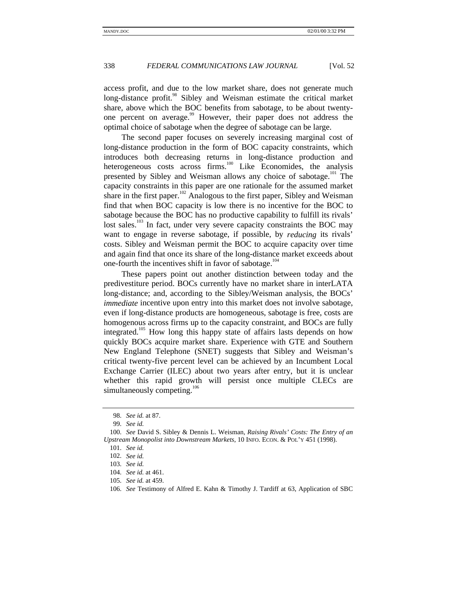access profit, and due to the low market share, does not generate much long-distance profit.<sup>98</sup> Sibley and Weisman estimate the critical market share, above which the BOC benefits from sabotage, to be about twentyone percent on average.<sup>99</sup> However, their paper does not address the optimal choice of sabotage when the degree of sabotage can be large.

The second paper focuses on severely increasing marginal cost of long-distance production in the form of BOC capacity constraints, which introduces both decreasing returns in long-distance production and heterogeneous costs across firms.<sup>100</sup> Like Economides, the analysis presented by Sibley and Weisman allows any choice of sabotage.<sup>101</sup> The capacity constraints in this paper are one rationale for the assumed market share in the first paper.<sup>102</sup> Analogous to the first paper, Sibley and Weisman find that when BOC capacity is low there is no incentive for the BOC to sabotage because the BOC has no productive capability to fulfill its rivals' lost sales.<sup>103</sup> In fact, under very severe capacity constraints the BOC may want to engage in reverse sabotage, if possible, by *reducing* its rivals' costs. Sibley and Weisman permit the BOC to acquire capacity over time and again find that once its share of the long-distance market exceeds about one-fourth the incentives shift in favor of sabotage.<sup>104</sup>

These papers point out another distinction between today and the predivestiture period. BOCs currently have no market share in interLATA long-distance; and, according to the Sibley/Weisman analysis, the BOCs' *immediate* incentive upon entry into this market does not involve sabotage, even if long-distance products are homogeneous, sabotage is free, costs are homogenous across firms up to the capacity constraint, and BOCs are fully integrated.<sup>105</sup> How long this happy state of affairs lasts depends on how quickly BOCs acquire market share. Experience with GTE and Southern New England Telephone (SNET) suggests that Sibley and Weisman's critical twenty-five percent level can be achieved by an Incumbent Local Exchange Carrier (ILEC) about two years after entry, but it is unclear whether this rapid growth will persist once multiple CLECs are simultaneously competing.<sup>106</sup>

<sup>98.</sup> *See id.* at 87.

<sup>99.</sup> *See id.*

<sup>100.</sup> *See* David S. Sibley & Dennis L. Weisman, *Raising Rivals' Costs: The Entry of an Upstream Monopolist into Downstream Markets*, 10 INFO. ECON. & POL'Y 451 (1998).

<sup>101.</sup> *See id.*

<sup>102.</sup> *See id.*

<sup>103.</sup> *See id.*

<sup>104.</sup> *See id.* at 461.

<sup>105.</sup> *See id.* at 459.

<sup>106.</sup> *See* Testimony of Alfred E. Kahn & Timothy J. Tardiff at 63, Application of SBC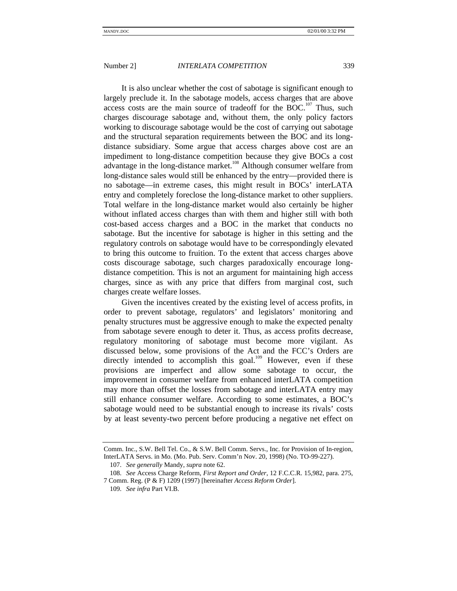It is also unclear whether the cost of sabotage is significant enough to largely preclude it. In the sabotage models, access charges that are above access costs are the main source of tradeoff for the BOC.<sup>107</sup> Thus, such charges discourage sabotage and, without them, the only policy factors working to discourage sabotage would be the cost of carrying out sabotage and the structural separation requirements between the BOC and its longdistance subsidiary. Some argue that access charges above cost are an impediment to long-distance competition because they give BOCs a cost advantage in the long-distance market.<sup>108</sup> Although consumer welfare from long-distance sales would still be enhanced by the entry—provided there is no sabotage—in extreme cases, this might result in BOCs' interLATA entry and completely foreclose the long-distance market to other suppliers. Total welfare in the long-distance market would also certainly be higher without inflated access charges than with them and higher still with both cost-based access charges and a BOC in the market that conducts no sabotage. But the incentive for sabotage is higher in this setting and the regulatory controls on sabotage would have to be correspondingly elevated to bring this outcome to fruition. To the extent that access charges above costs discourage sabotage, such charges paradoxically encourage longdistance competition. This is not an argument for maintaining high access charges, since as with any price that differs from marginal cost, such charges create welfare losses.

Given the incentives created by the existing level of access profits, in order to prevent sabotage, regulators' and legislators' monitoring and penalty structures must be aggressive enough to make the expected penalty from sabotage severe enough to deter it. Thus, as access profits decrease, regulatory monitoring of sabotage must become more vigilant. As discussed below, some provisions of the Act and the FCC's Orders are directly intended to accomplish this goal.<sup>109</sup> However, even if these provisions are imperfect and allow some sabotage to occur, the improvement in consumer welfare from enhanced interLATA competition may more than offset the losses from sabotage and interLATA entry may still enhance consumer welfare. According to some estimates, a BOC's sabotage would need to be substantial enough to increase its rivals' costs by at least seventy-two percent before producing a negative net effect on

Comm. Inc., S.W. Bell Tel. Co., & S.W. Bell Comm. Servs., Inc. for Provision of In-region, InterLATA Servs. in Mo. (Mo. Pub. Serv. Comm'n Nov. 20, 1998) (No. TO-99-227).

<sup>107.</sup> *See generally* Mandy, *supra* note 62.

<sup>108.</sup> *See* Access Charge Reform, *First Report and Order*, 12 F.C.C.R. 15,982, para. 275, 7 Comm. Reg. (P & F) 1209 (1997) [hereinafter *Access Reform Order*].

<sup>109.</sup> *See infra* Part VI.B.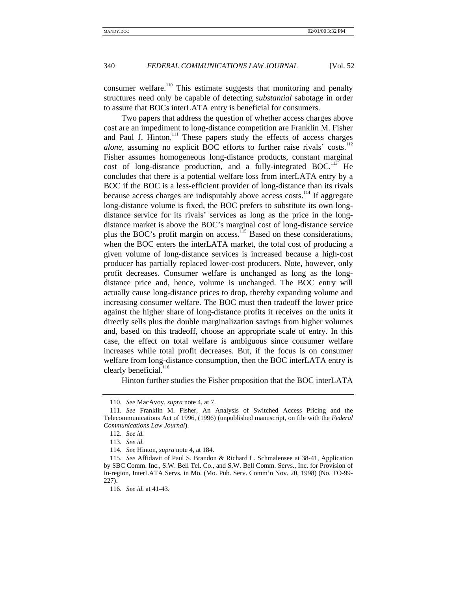consumer welfare.<sup>110</sup> This estimate suggests that monitoring and penalty structures need only be capable of detecting *substantial* sabotage in order to assure that BOCs interLATA entry is beneficial for consumers.

Two papers that address the question of whether access charges above cost are an impediment to long-distance competition are Franklin M. Fisher and Paul J. Hinton.<sup>111</sup> These papers study the effects of access charges *alone*, assuming no explicit BOC efforts to further raise rivals' costs.<sup>112</sup> Fisher assumes homogeneous long-distance products, constant marginal cost of long-distance production, and a fully-integrated  $BOC<sup>113</sup>$  He concludes that there is a potential welfare loss from interLATA entry by a BOC if the BOC is a less-efficient provider of long-distance than its rivals because access charges are indisputably above access costs.<sup>114</sup> If aggregate long-distance volume is fixed, the BOC prefers to substitute its own longdistance service for its rivals' services as long as the price in the longdistance market is above the BOC's marginal cost of long-distance service plus the BOC's profit margin on access.<sup>115</sup> Based on these considerations, when the BOC enters the interLATA market, the total cost of producing a given volume of long-distance services is increased because a high-cost producer has partially replaced lower-cost producers. Note, however, only profit decreases. Consumer welfare is unchanged as long as the longdistance price and, hence, volume is unchanged. The BOC entry will actually cause long-distance prices to drop, thereby expanding volume and increasing consumer welfare. The BOC must then tradeoff the lower price against the higher share of long-distance profits it receives on the units it directly sells plus the double marginalization savings from higher volumes and, based on this tradeoff, choose an appropriate scale of entry. In this case, the effect on total welfare is ambiguous since consumer welfare increases while total profit decreases. But, if the focus is on consumer welfare from long-distance consumption, then the BOC interLATA entry is clearly beneficial.<sup>116</sup>

Hinton further studies the Fisher proposition that the BOC interLATA

<sup>110.</sup> *See* MacAvoy, *supra* note 4, at 7.

<sup>111.</sup> *See* Franklin M. Fisher, An Analysis of Switched Access Pricing and the Telecommunications Act of 1996, (1996) (unpublished manuscript, on file with the *Federal Communications Law Journal*).

<sup>112.</sup> *See id.*

<sup>113.</sup> *See id.*

<sup>114.</sup> *See* Hinton, *supra* note 4, at 184.

<sup>115.</sup> *See* Affidavit of Paul S. Brandon & Richard L. Schmalensee at 38-41, Application by SBC Comm. Inc., S.W. Bell Tel. Co., and S.W. Bell Comm. Servs., Inc. for Provision of In-region, InterLATA Servs. in Mo. (Mo. Pub. Serv. Comm'n Nov. 20, 1998) (No. TO-99- 227).

<sup>116.</sup> *See id.* at 41-43.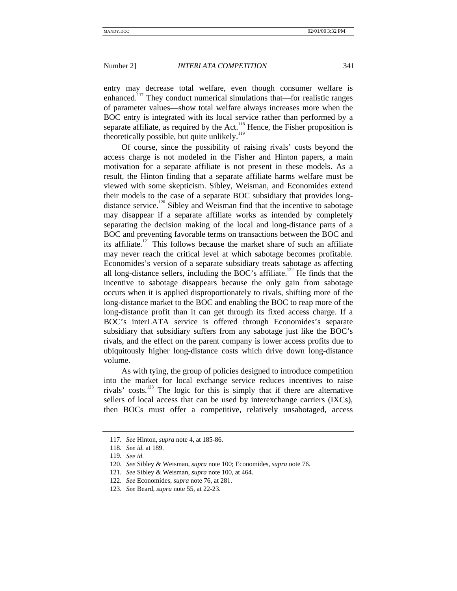entry may decrease total welfare, even though consumer welfare is enhanced.<sup>117</sup> They conduct numerical simulations that—for realistic ranges of parameter values—show total welfare always increases more when the BOC entry is integrated with its local service rather than performed by a separate affiliate, as required by the Act. $118$  Hence, the Fisher proposition is theoretically possible, but quite unlikely.<sup>119</sup>

Of course, since the possibility of raising rivals' costs beyond the access charge is not modeled in the Fisher and Hinton papers, a main motivation for a separate affiliate is not present in these models. As a result, the Hinton finding that a separate affiliate harms welfare must be viewed with some skepticism. Sibley, Weisman, and Economides extend their models to the case of a separate BOC subsidiary that provides longdistance service.<sup>120</sup> Sibley and Weisman find that the incentive to sabotage may disappear if a separate affiliate works as intended by completely separating the decision making of the local and long-distance parts of a BOC and preventing favorable terms on transactions between the BOC and its affiliate.<sup>121</sup> This follows because the market share of such an affiliate may never reach the critical level at which sabotage becomes profitable. Economides's version of a separate subsidiary treats sabotage as affecting all long-distance sellers, including the BOC's affiliate.<sup>122</sup> He finds that the incentive to sabotage disappears because the only gain from sabotage occurs when it is applied disproportionately to rivals, shifting more of the long-distance market to the BOC and enabling the BOC to reap more of the long-distance profit than it can get through its fixed access charge. If a BOC's interLATA service is offered through Economides's separate subsidiary that subsidiary suffers from any sabotage just like the BOC's rivals, and the effect on the parent company is lower access profits due to ubiquitously higher long-distance costs which drive down long-distance volume.

As with tying, the group of policies designed to introduce competition into the market for local exchange service reduces incentives to raise rivals' costs. $123$  The logic for this is simply that if there are alternative sellers of local access that can be used by interexchange carriers (IXCs), then BOCs must offer a competitive, relatively unsabotaged, access

<sup>117.</sup> *See* Hinton, *supra* note 4, at 185-86.

<sup>118.</sup> *See id.* at 189.

<sup>119.</sup> *See id.*

<sup>120.</sup> *See* Sibley & Weisman, *supra* note 100; Economides, *supra* note 76.

<sup>121.</sup> *See* Sibley & Weisman, *supra* note 100, at 464.

<sup>122.</sup> *See* Economides, *supra* note 76, at 281.

<sup>123.</sup> *See* Beard, *supra* note 55, at 22-23.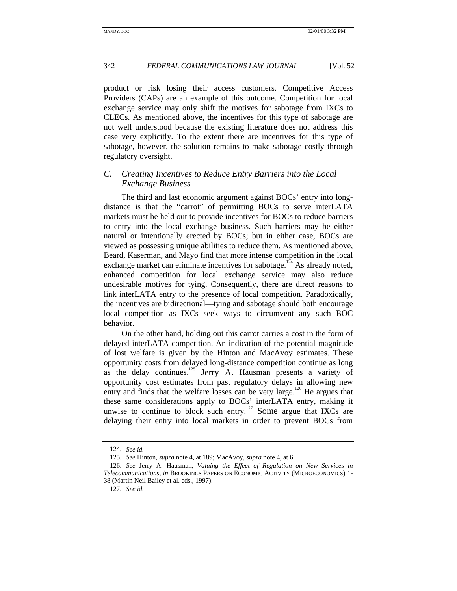product or risk losing their access customers. Competitive Access Providers (CAPs) are an example of this outcome. Competition for local exchange service may only shift the motives for sabotage from IXCs to CLECs. As mentioned above, the incentives for this type of sabotage are not well understood because the existing literature does not address this case very explicitly. To the extent there are incentives for this type of sabotage, however, the solution remains to make sabotage costly through regulatory oversight.

# *C. Creating Incentives to Reduce Entry Barriers into the Local Exchange Business*

The third and last economic argument against BOCs' entry into longdistance is that the "carrot" of permitting BOCs to serve interLATA markets must be held out to provide incentives for BOCs to reduce barriers to entry into the local exchange business. Such barriers may be either natural or intentionally erected by BOCs; but in either case, BOCs are viewed as possessing unique abilities to reduce them. As mentioned above, Beard, Kaserman, and Mayo find that more intense competition in the local exchange market can eliminate incentives for sabotage.<sup>124</sup> As already noted, enhanced competition for local exchange service may also reduce undesirable motives for tying. Consequently, there are direct reasons to link interLATA entry to the presence of local competition. Paradoxically, the incentives are bidirectional—tying and sabotage should both encourage local competition as IXCs seek ways to circumvent any such BOC behavior.

On the other hand, holding out this carrot carries a cost in the form of delayed interLATA competition. An indication of the potential magnitude of lost welfare is given by the Hinton and MacAvoy estimates. These opportunity costs from delayed long-distance competition continue as long as the delay continues.<sup>125</sup> Jerry A. Hausman presents a variety of opportunity cost estimates from past regulatory delays in allowing new entry and finds that the welfare losses can be very large.<sup>126</sup> He argues that these same considerations apply to BOCs' interLATA entry, making it unwise to continue to block such entry.<sup>127</sup> Some argue that IXCs are delaying their entry into local markets in order to prevent BOCs from

<sup>124.</sup> *See id.*

<sup>125.</sup> *See* Hinton, *supra* note 4, at 189; MacAvoy, *supra* note 4, at 6.

<sup>126.</sup> *See* Jerry A. Hausman, *Valuing the Effect of Regulation on New Services in Telecommunications*, *in* BROOKINGS PAPERS ON ECONOMIC ACTIVITY (MICROECONOMICS) 1- 38 (Martin Neil Bailey et al. eds., 1997).

<sup>127.</sup> *See id.*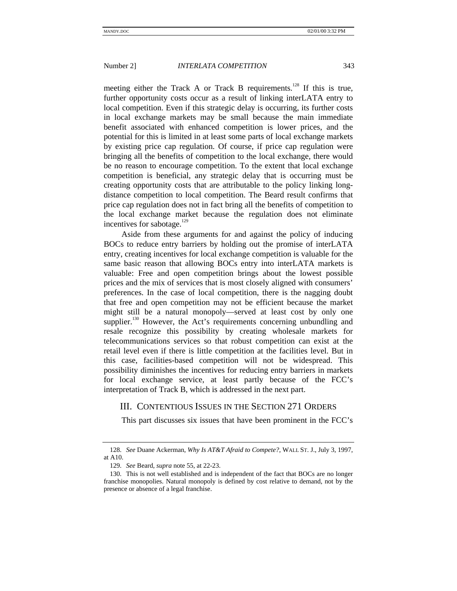meeting either the Track A or Track B requirements.<sup>128</sup> If this is true, further opportunity costs occur as a result of linking interLATA entry to local competition. Even if this strategic delay is occurring, its further costs in local exchange markets may be small because the main immediate benefit associated with enhanced competition is lower prices, and the potential for this is limited in at least some parts of local exchange markets by existing price cap regulation. Of course, if price cap regulation were bringing all the benefits of competition to the local exchange, there would be no reason to encourage competition. To the extent that local exchange competition is beneficial, any strategic delay that is occurring must be creating opportunity costs that are attributable to the policy linking longdistance competition to local competition. The Beard result confirms that price cap regulation does not in fact bring all the benefits of competition to the local exchange market because the regulation does not eliminate incentives for sabotage.<sup>129</sup>

Aside from these arguments for and against the policy of inducing BOCs to reduce entry barriers by holding out the promise of interLATA entry, creating incentives for local exchange competition is valuable for the same basic reason that allowing BOCs entry into interLATA markets is valuable: Free and open competition brings about the lowest possible prices and the mix of services that is most closely aligned with consumers' preferences. In the case of local competition, there is the nagging doubt that free and open competition may not be efficient because the market might still be a natural monopoly—served at least cost by only one supplier.<sup>130</sup> However, the Act's requirements concerning unbundling and resale recognize this possibility by creating wholesale markets for telecommunications services so that robust competition can exist at the retail level even if there is little competition at the facilities level. But in this case, facilities-based competition will not be widespread. This possibility diminishes the incentives for reducing entry barriers in markets for local exchange service, at least partly because of the FCC's interpretation of Track B, which is addressed in the next part.

# III. CONTENTIOUS ISSUES IN THE SECTION 271 ORDERS

This part discusses six issues that have been prominent in the FCC's

<sup>128.</sup> *See* Duane Ackerman, *Why Is AT&T Afraid to Compete?*, WALL ST. J., July 3, 1997, at A10.

<sup>129.</sup> *See* Beard, *supra* note 55, at 22-23.

<sup>130.</sup> This is not well established and is independent of the fact that BOCs are no longer franchise monopolies. Natural monopoly is defined by cost relative to demand, not by the presence or absence of a legal franchise.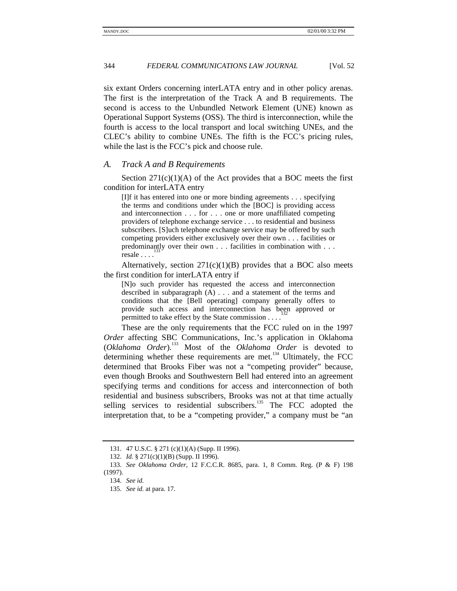six extant Orders concerning interLATA entry and in other policy arenas. The first is the interpretation of the Track A and B requirements. The second is access to the Unbundled Network Element (UNE) known as Operational Support Systems (OSS). The third is interconnection, while the fourth is access to the local transport and local switching UNEs, and the CLEC's ability to combine UNEs. The fifth is the FCC's pricing rules, while the last is the FCC's pick and choose rule.

### *A. Track A and B Requirements*

Section  $271(c)(1)(A)$  of the Act provides that a BOC meets the first condition for interLATA entry

[I]f it has entered into one or more binding agreements . . . specifying the terms and conditions under which the [BOC] is providing access and interconnection . . . for . . . one or more unaffiliated competing providers of telephone exchange service . . . to residential and business subscribers. [S]uch telephone exchange service may be offered by such competing providers either exclusively over their own . . . facilities or predominantly over their own . . . facilities in combination with . . . resale . . . .

Alternatively, section  $271(c)(1)(B)$  provides that a BOC also meets the first condition for interLATA entry if

[N]o such provider has requested the access and interconnection described in subparagraph (A) . . . and a statement of the terms and conditions that the [Bell operating] company generally offers to provide such access and interconnection has been approved or permitted to take effect by the State commission . . . .

These are the only requirements that the FCC ruled on in the 1997 *Order* affecting SBC Communications, Inc.'s application in Oklahoma (*Oklahoma Order*).133 Most of the *Oklahoma Order* is devoted to determining whether these requirements are met. $134$  Ultimately, the FCC determined that Brooks Fiber was not a "competing provider" because, even though Brooks and Southwestern Bell had entered into an agreement specifying terms and conditions for access and interconnection of both residential and business subscribers, Brooks was not at that time actually selling services to residential subscribers.<sup>135</sup> The FCC adopted the interpretation that, to be a "competing provider," a company must be "an

<sup>131. 47</sup> U.S.C. § 271 (c)(1)(A) (Supp. II 1996).

<sup>132.</sup> *Id.* § 271(c)(1)(B) (Supp. II 1996).

<sup>133.</sup> *See Oklahoma Order*, 12 F.C.C.R. 8685, para. 1, 8 Comm. Reg. (P & F) 198 (1997).

<sup>134.</sup> *See id.*

<sup>135.</sup> *See id.* at para. 17.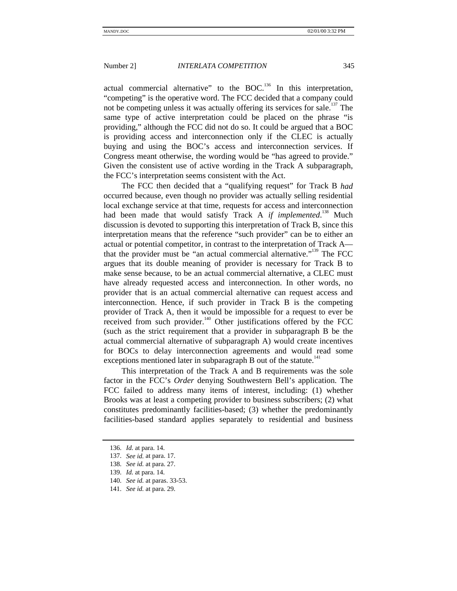actual commercial alternative" to the BOC.<sup>136</sup> In this interpretation, "competing" is the operative word. The FCC decided that a company could not be competing unless it was actually offering its services for sale.<sup>137</sup> The same type of active interpretation could be placed on the phrase "is providing," although the FCC did not do so. It could be argued that a BOC is providing access and interconnection only if the CLEC is actually buying and using the BOC's access and interconnection services. If Congress meant otherwise, the wording would be "has agreed to provide." Given the consistent use of active wording in the Track A subparagraph, the FCC's interpretation seems consistent with the Act.

The FCC then decided that a "qualifying request" for Track B *had* occurred because, even though no provider was actually selling residential local exchange service at that time, requests for access and interconnection had been made that would satisfy Track A *if implemented*.<sup>138</sup> Much discussion is devoted to supporting this interpretation of Track B, since this interpretation means that the reference "such provider" can be to either an actual or potential competitor, in contrast to the interpretation of Track A that the provider must be "an actual commercial alternative."<sup>139</sup> The FCC argues that its double meaning of provider is necessary for Track B to make sense because, to be an actual commercial alternative, a CLEC must have already requested access and interconnection. In other words, no provider that is an actual commercial alternative can request access and interconnection. Hence, if such provider in Track B is the competing provider of Track A, then it would be impossible for a request to ever be received from such provider.<sup>140</sup> Other justifications offered by the FCC (such as the strict requirement that a provider in subparagraph B be the actual commercial alternative of subparagraph A) would create incentives for BOCs to delay interconnection agreements and would read some exceptions mentioned later in subparagraph  $B$  out of the statute.<sup>141</sup>

This interpretation of the Track A and B requirements was the sole factor in the FCC's *Order* denying Southwestern Bell's application. The FCC failed to address many items of interest, including: (1) whether Brooks was at least a competing provider to business subscribers; (2) what constitutes predominantly facilities-based; (3) whether the predominantly facilities-based standard applies separately to residential and business

<sup>136.</sup> *Id.* at para. 14.

<sup>137.</sup> *See id.* at para. 17.

<sup>138.</sup> *See id.* at para. 27.

<sup>139.</sup> *Id.* at para. 14.

<sup>140.</sup> *See id.* at paras. 33-53.

<sup>141.</sup> *See id.* at para. 29.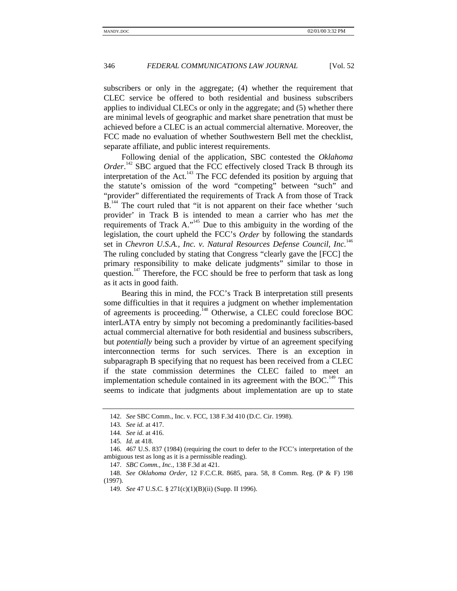subscribers or only in the aggregate; (4) whether the requirement that CLEC service be offered to both residential and business subscribers applies to individual CLECs or only in the aggregate; and (5) whether there are minimal levels of geographic and market share penetration that must be achieved before a CLEC is an actual commercial alternative. Moreover, the FCC made no evaluation of whether Southwestern Bell met the checklist, separate affiliate, and public interest requirements.

Following denial of the application, SBC contested the *Oklahoma* Order.<sup>142</sup> SBC argued that the FCC effectively closed Track B through its interpretation of the Act.<sup>143</sup> The FCC defended its position by arguing that the statute's omission of the word "competing" between "such" and "provider" differentiated the requirements of Track A from those of Track B.<sup>144</sup> The court ruled that "it is not apparent on their face whether 'such provider' in Track B is intended to mean a carrier who has *met* the requirements of Track A."<sup>145</sup> Due to this ambiguity in the wording of the legislation, the court upheld the FCC's *Order* by following the standards set in *Chevron U.S.A., Inc. v. Natural Resources Defense Council, Inc.*<sup>146</sup> The ruling concluded by stating that Congress "clearly gave the [FCC] the primary responsibility to make delicate judgments" similar to those in question.<sup>147</sup> Therefore, the FCC should be free to perform that task as long as it acts in good faith.

Bearing this in mind, the FCC's Track B interpretation still presents some difficulties in that it requires a judgment on whether implementation of agreements is proceeding.<sup>148</sup> Otherwise, a CLEC could foreclose BOC interLATA entry by simply not becoming a predominantly facilities-based actual commercial alternative for both residential and business subscribers, but *potentially* being such a provider by virtue of an agreement specifying interconnection terms for such services. There is an exception in subparagraph B specifying that no request has been received from a CLEC if the state commission determines the CLEC failed to meet an implementation schedule contained in its agreement with the BOC.<sup>149</sup> This seems to indicate that judgments about implementation are up to state

<sup>142.</sup> *See* SBC Comm., Inc. v. FCC, 138 F.3d 410 (D.C. Cir. 1998).

<sup>143.</sup> *See id.* at 417.

<sup>144.</sup> *See id.* at 416.

<sup>145.</sup> *Id.* at 418.

<sup>146. 467</sup> U.S. 837 (1984) (requiring the court to defer to the FCC's interpretation of the ambiguous test as long as it is a permissible reading).

<sup>147.</sup> *SBC Comm., Inc.*, 138 F.3d at 421.

<sup>148.</sup> *See Oklahoma Order*, 12 F.C.C.R. 8685, para. 58, 8 Comm. Reg. (P & F) 198 (1997).

<sup>149.</sup> *See* 47 U.S.C. § 271(c)(1)(B)(ii) (Supp. II 1996).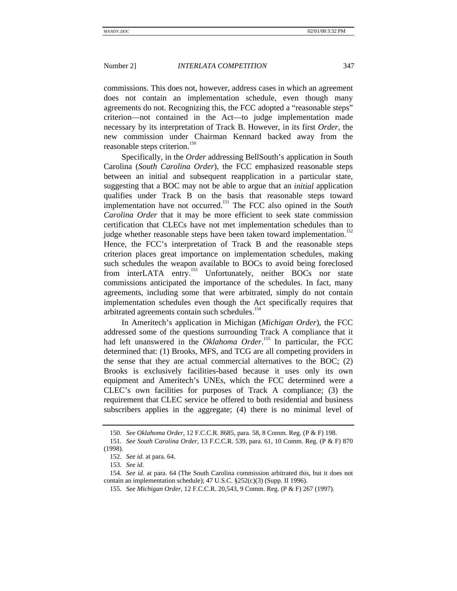commissions. This does not, however, address cases in which an agreement does not contain an implementation schedule, even though many agreements do not. Recognizing this, the FCC adopted a "reasonable steps" criterion—not contained in the Act—to judge implementation made necessary by its interpretation of Track B. However, in its first *Order*, the new commission under Chairman Kennard backed away from the reasonable steps criterion.<sup>150</sup>

Specifically, in the *Order* addressing BellSouth's application in South Carolina (*South Carolina Order*), the FCC emphasized reasonable steps between an initial and subsequent reapplication in a particular state, suggesting that a BOC may not be able to argue that an *initial* application qualifies under Track B on the basis that reasonable steps toward implementation have not occurred.151 The FCC also opined in the *South Carolina Order* that it may be more efficient to seek state commission certification that CLECs have not met implementation schedules than to judge whether reasonable steps have been taken toward implementation.<sup>152</sup> Hence, the FCC's interpretation of Track B and the reasonable steps criterion places great importance on implementation schedules, making such schedules the weapon available to BOCs to avoid being foreclosed from interLATA entry.<sup>153</sup> Unfortunately, neither BOCs nor state commissions anticipated the importance of the schedules. In fact, many agreements, including some that were arbitrated, simply do not contain implementation schedules even though the Act specifically requires that arbitrated agreements contain such schedules.<sup>154</sup>

In Ameritech's application in Michigan (*Michigan Order*), the FCC addressed some of the questions surrounding Track A compliance that it had left unanswered in the *Oklahoma Order*.<sup>155</sup> In particular, the FCC determined that: (1) Brooks, MFS, and TCG are all competing providers in the sense that they are actual commercial alternatives to the BOC; (2) Brooks is exclusively facilities-based because it uses only its own equipment and Ameritech's UNEs, which the FCC determined were a CLEC's own facilities for purposes of Track A compliance; (3) the requirement that CLEC service be offered to both residential and business subscribers applies in the aggregate; (4) there is no minimal level of

<sup>150.</sup> *See Oklahoma Order*, 12 F.C.C.R. 8685, para. 58, 8 Comm. Reg. (P & F) 198.

<sup>151.</sup> *See South Carolina Order*, 13 F.C.C.R. 539, para. 61, 10 Comm. Reg. (P & F) 870 (1998).

<sup>152.</sup> *See id.* at para. 64.

<sup>153.</sup> *See id.*

<sup>154.</sup> *See id.* at para. 64 (The South Carolina commission arbitrated this, but it does not contain an implementation schedule); 47 U.S.C. §252(c)(3) (Supp. II 1996).

<sup>155.</sup> *See Michigan Order*, 12 F.C.C.R. 20,543, 9 Comm. Reg. (P & F) 267 (1997).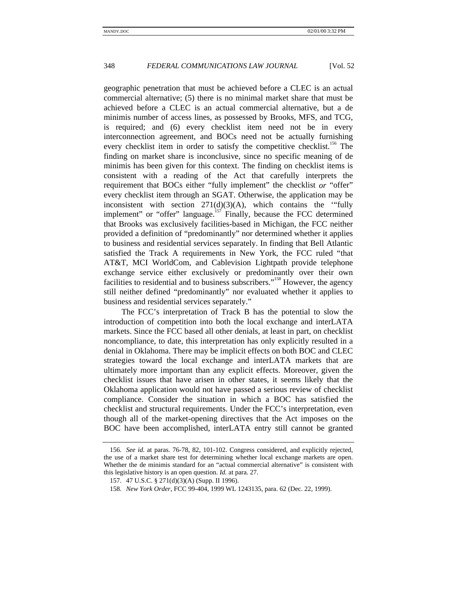geographic penetration that must be achieved before a CLEC is an actual commercial alternative; (5) there is no minimal market share that must be achieved before a CLEC is an actual commercial alternative, but a de minimis number of access lines, as possessed by Brooks, MFS, and TCG, is required; and (6) every checklist item need not be in every interconnection agreement, and BOCs need not be actually furnishing every checklist item in order to satisfy the competitive checklist.<sup>156</sup> The finding on market share is inconclusive, since no specific meaning of de minimis has been given for this context. The finding on checklist items is consistent with a reading of the Act that carefully interprets the requirement that BOCs either "fully implement" the checklist *or* "offer" every checklist item through an SGAT. Otherwise, the application may be inconsistent with section  $271(d)(3)(A)$ , which contains the "fully implement" or "offer" language.<sup>157</sup> Finally, because the FCC determined that Brooks was exclusively facilities-based in Michigan, the FCC neither provided a definition of "predominantly" nor determined whether it applies to business and residential services separately. In finding that Bell Atlantic satisfied the Track A requirements in New York, the FCC ruled "that AT&T, MCI WorldCom, and Cablevision Lightpath provide telephone exchange service either exclusively or predominantly over their own facilities to residential and to business subscribers."<sup>158</sup> However, the agency still neither defined "predominantly" nor evaluated whether it applies to business and residential services separately."

The FCC's interpretation of Track B has the potential to slow the introduction of competition into both the local exchange and interLATA markets. Since the FCC based all other denials, at least in part, on checklist noncompliance, to date, this interpretation has only explicitly resulted in a denial in Oklahoma. There may be implicit effects on both BOC and CLEC strategies toward the local exchange and interLATA markets that are ultimately more important than any explicit effects. Moreover, given the checklist issues that have arisen in other states, it seems likely that the Oklahoma application would not have passed a serious review of checklist compliance. Consider the situation in which a BOC has satisfied the checklist and structural requirements. Under the FCC's interpretation, even though all of the market-opening directives that the Act imposes on the BOC have been accomplished, interLATA entry still cannot be granted

<sup>156.</sup> *See id.* at paras. 76-78, 82, 101-102. Congress considered, and explicitly rejected, the use of a market share test for determining whether local exchange markets are open. Whether the de minimis standard for an "actual commercial alternative" is consistent with this legislative history is an open question. *Id.* at para. 27.

<sup>157. 47</sup> U.S.C. § 271(d)(3)(A) (Supp. II 1996).

<sup>158.</sup> *New York Order*, FCC 99-404, 1999 WL 1243135, para. 62 (Dec. 22, 1999).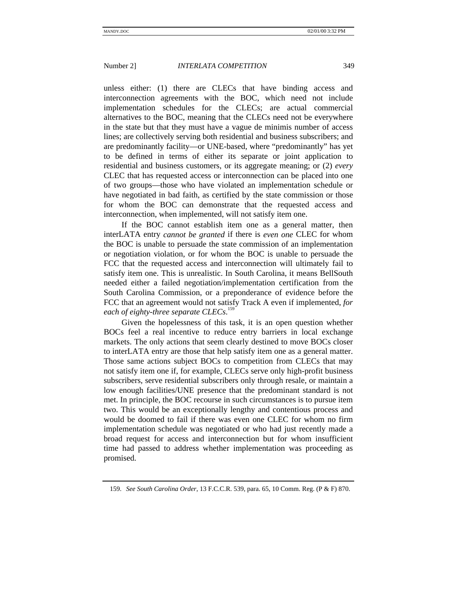unless either: (1) there are CLECs that have binding access and interconnection agreements with the BOC, which need not include implementation schedules for the CLECs; are actual commercial alternatives to the BOC, meaning that the CLECs need not be everywhere in the state but that they must have a vague de minimis number of access lines; are collectively serving both residential and business subscribers; and are predominantly facility—or UNE-based, where "predominantly" has yet to be defined in terms of either its separate or joint application to residential and business customers, or its aggregate meaning; or (2) *every* CLEC that has requested access or interconnection can be placed into one of two groups—those who have violated an implementation schedule or have negotiated in bad faith, as certified by the state commission or those for whom the BOC can demonstrate that the requested access and interconnection, when implemented, will not satisfy item one.

If the BOC cannot establish item one as a general matter, then interLATA entry *cannot be granted* if there is *even one* CLEC for whom the BOC is unable to persuade the state commission of an implementation or negotiation violation, or for whom the BOC is unable to persuade the FCC that the requested access and interconnection will ultimately fail to satisfy item one. This is unrealistic. In South Carolina, it means BellSouth needed either a failed negotiation/implementation certification from the South Carolina Commission, or a preponderance of evidence before the FCC that an agreement would not satisfy Track A even if implemented, *for each of eighty-three separate CLECs*. 159

Given the hopelessness of this task, it is an open question whether BOCs feel a real incentive to reduce entry barriers in local exchange markets. The only actions that seem clearly destined to move BOCs closer to interLATA entry are those that help satisfy item one as a general matter. Those same actions subject BOCs to competition from CLECs that may not satisfy item one if, for example, CLECs serve only high-profit business subscribers, serve residential subscribers only through resale, or maintain a low enough facilities/UNE presence that the predominant standard is not met. In principle, the BOC recourse in such circumstances is to pursue item two. This would be an exceptionally lengthy and contentious process and would be doomed to fail if there was even one CLEC for whom no firm implementation schedule was negotiated or who had just recently made a broad request for access and interconnection but for whom insufficient time had passed to address whether implementation was proceeding as promised.

<sup>159.</sup> *See South Carolina Order*, 13 F.C.C.R. 539, para. 65, 10 Comm. Reg. (P & F) 870.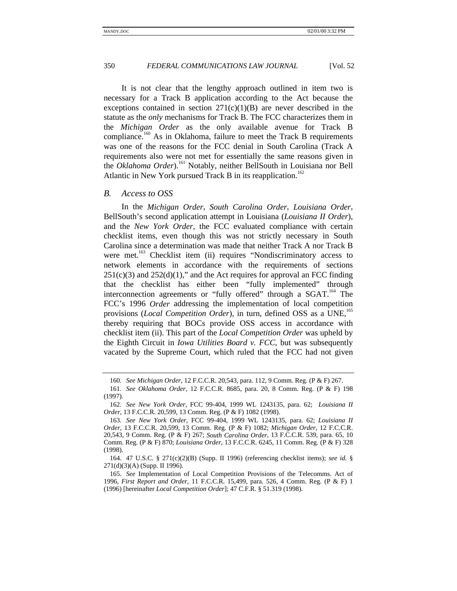It is not clear that the lengthy approach outlined in item two is necessary for a Track B application according to the Act because the exceptions contained in section  $271(c)(1)(B)$  are never described in the statute as the *only* mechanisms for Track B. The FCC characterizes them in the *Michigan Order* as the only available avenue for Track B compliance.<sup>160</sup> As in Oklahoma, failure to meet the Track B requirements was one of the reasons for the FCC denial in South Carolina (Track A requirements also were not met for essentially the same reasons given in the *Oklahoma Order*).<sup>161</sup> Notably, neither BellSouth in Louisiana nor Bell Atlantic in New York pursued Track B in its reapplication.<sup>162</sup>

### *B. Access to OSS*

In the *Michigan Order*, *South Carolina Order*, *Louisiana Order*, BellSouth's second application attempt in Louisiana (*Louisiana II Order*), and the *New York Order*, the FCC evaluated compliance with certain checklist items, even though this was not strictly necessary in South Carolina since a determination was made that neither Track A nor Track B were met.<sup>163</sup> Checklist item (ii) requires "Nondiscriminatory access to network elements in accordance with the requirements of sections  $251(c)(3)$  and  $252(d)(1)$ ," and the Act requires for approval an FCC finding that the checklist has either been "fully implemented" through interconnection agreements or "fully offered" through a  $SGAT$ .<sup>164</sup> The FCC's 1996 *Order* addressing the implementation of local competition provisions (*Local Competition Order*), in turn, defined OSS as a UNE,<sup>165</sup> thereby requiring that BOCs provide OSS access in accordance with checklist item (ii). This part of the *Local Competition Order* was upheld by the Eighth Circuit in *Iowa Utilities Board v. FCC*, but was subsequently vacated by the Supreme Court, which ruled that the FCC had not given

<sup>160.</sup> *See Michigan Order*, 12 F.C.C.R. 20,543, para. 112, 9 Comm. Reg. (P & F) 267.

<sup>161.</sup> *See Oklahoma Order*, 12 F.C.C.R. 8685, para. 20, 8 Comm. Reg. (P & F) 198 (1997).

<sup>162.</sup> *See New York Order*, FCC 99-404, 1999 WL 1243135, para. 62; *Louisiana II Order*, 13 F.C.C.R. 20,599, 13 Comm. Reg. (P & F) 1082 (1998).

<sup>163.</sup> *See New York Order*, FCC 99-404, 1999 WL 1243135, para. 62; *Louisiana II Order*, 13 F.C.C.R. 20,599, 13 Comm. Reg. (P & F) 1082; *Michigan Order*, 12 F.C.C.R. 20,543, 9 Comm. Reg. (P & F) 267; *South Carolina Order*, 13 F.C.C.R. 539, para. 65, 10 Comm. Reg. (P & F) 870; *Louisiana Order*, 13 F.C.C.R. 6245, 11 Comm. Reg. (P & F) 328 (1998).

<sup>164. 47</sup> U.S.C. § 271(c)(2)(B) (Supp. II 1996) (referencing checklist items); *see id.* § 271(d)(3)(A) (Supp. II 1996).

<sup>165.</sup> *See* Implementation of Local Competition Provisions of the Telecomms. Act of 1996, *First Report and Order*, 11 F.C.C.R. 15,499, para. 526, 4 Comm. Reg. (P & F) 1 (1996) [hereinafter *Local Competition Order*]; 47 C.F.R. § 51.319 (1998).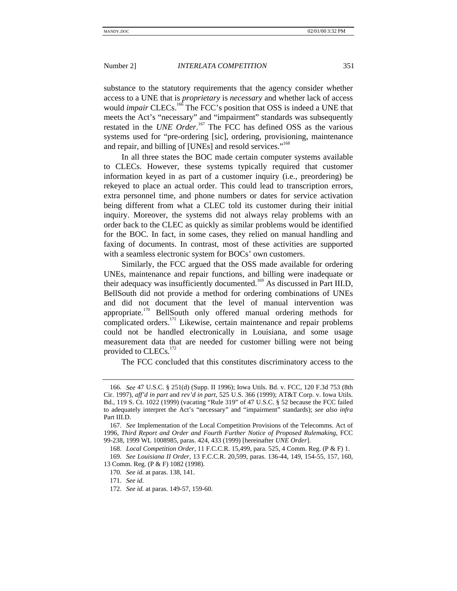substance to the statutory requirements that the agency consider whether access to a UNE that is *proprietary* is *necessary* and whether lack of access would *impair* CLECs.<sup>166</sup> The FCC's position that OSS is indeed a UNE that meets the Act's "necessary" and "impairment" standards was subsequently restated in the *UNE Order*. 167 The FCC has defined OSS as the various systems used for "pre-ordering [sic], ordering, provisioning, maintenance and repair, and billing of [UNEs] and resold services."<sup>168</sup>

In all three states the BOC made certain computer systems available to CLECs. However, these systems typically required that customer information keyed in as part of a customer inquiry (i.e., preordering) be rekeyed to place an actual order. This could lead to transcription errors, extra personnel time, and phone numbers or dates for service activation being different from what a CLEC told its customer during their initial inquiry. Moreover, the systems did not always relay problems with an order back to the CLEC as quickly as similar problems would be identified for the BOC. In fact, in some cases, they relied on manual handling and faxing of documents. In contrast, most of these activities are supported with a seamless electronic system for BOCs' own customers.

Similarly, the FCC argued that the OSS made available for ordering UNEs, maintenance and repair functions, and billing were inadequate or their adequacy was insufficiently documented.<sup>169</sup> As discussed in Part III.D, BellSouth did not provide a method for ordering combinations of UNEs and did not document that the level of manual intervention was appropriate.<sup>170</sup> BellSouth only offered manual ordering methods for complicated orders.<sup>171</sup> Likewise, certain maintenance and repair problems could not be handled electronically in Louisiana, and some usage measurement data that are needed for customer billing were not being provided to CLECs.<sup>172</sup>

The FCC concluded that this constitutes discriminatory access to the

<sup>166.</sup> *See* 47 U.S.C. § 251(d) (Supp. II 1996); Iowa Utils. Bd. v. FCC, 120 F.3d 753 (8th Cir. 1997), *aff'd in part* and *rev'd in part*, 525 U.S. 366 (1999); AT&T Corp. v. Iowa Utils. Bd., 119 S. Ct. 1022 (1999) (vacating "Rule 319" of 47 U.S.C. § 52 because the FCC failed to adequately interpret the Act's "necessary" and "impairment" standards); *see also infra* Part III.D.

<sup>167.</sup> *See* Implementation of the Local Competition Provisions of the Telecomms. Act of 1996, *Third Report and Order and Fourth Further Notice of Proposed Rulemaking*, FCC 99-238, 1999 WL 1008985, paras. 424, 433 (1999) [hereinafter *UNE Order*].

<sup>168.</sup> *Local Competition Order*, 11 F.C.C.R. 15,499, para. 525, 4 Comm. Reg. (P & F) 1.

<sup>169.</sup> *See Louisiana II Order*, 13 F.C.C.R. 20,599, paras. 136-44, 149, 154-55, 157, 160, 13 Comm. Reg. (P & F) 1082 (1998).

<sup>170.</sup> *See id.* at paras. 138, 141.

<sup>171.</sup> *See id.*

<sup>172.</sup> *See id.* at paras. 149-57, 159-60.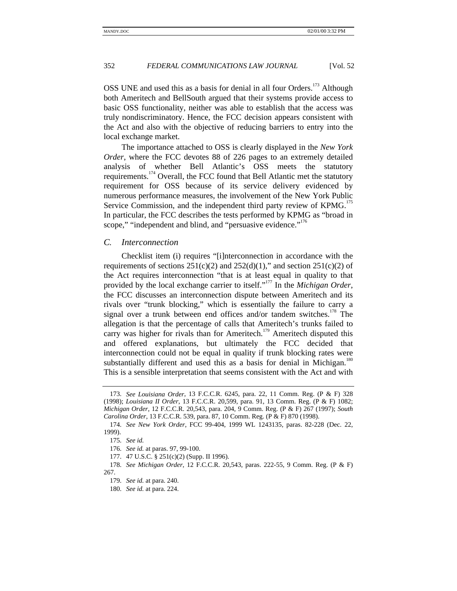OSS UNE and used this as a basis for denial in all four Orders.<sup>173</sup> Although both Ameritech and BellSouth argued that their systems provide access to basic OSS functionality, neither was able to establish that the access was truly nondiscriminatory. Hence, the FCC decision appears consistent with the Act and also with the objective of reducing barriers to entry into the local exchange market.

The importance attached to OSS is clearly displayed in the *New York Order*, where the FCC devotes 88 of 226 pages to an extremely detailed analysis of whether Bell Atlantic's OSS meets the statutory requirements.<sup>174</sup> Overall, the FCC found that Bell Atlantic met the statutory requirement for OSS because of its service delivery evidenced by numerous performance measures, the involvement of the New York Public Service Commission, and the independent third party review of KPMG.<sup>175</sup> In particular, the FCC describes the tests performed by KPMG as "broad in scope," "independent and blind, and "persuasive evidence."<sup>176</sup>

# *C. Interconnection*

Checklist item (i) requires "[i]nterconnection in accordance with the requirements of sections  $251(c)(2)$  and  $252(d)(1)$ ," and section  $251(c)(2)$  of the Act requires interconnection "that is at least equal in quality to that provided by the local exchange carrier to itself." <sup>177</sup> In the *Michigan Order*, the FCC discusses an interconnection dispute between Ameritech and its rivals over "trunk blocking," which is essentially the failure to carry a signal over a trunk between end offices and/or tandem switches.<sup>178</sup> The allegation is that the percentage of calls that Ameritech's trunks failed to carry was higher for rivals than for Ameritech.<sup>179</sup> Ameritech disputed this and offered explanations, but ultimately the FCC decided that interconnection could not be equal in quality if trunk blocking rates were substantially different and used this as a basis for denial in Michigan.<sup>180</sup> This is a sensible interpretation that seems consistent with the Act and with

<sup>173.</sup> *See Louisiana Order*, 13 F.C.C.R. 6245, para. 22, 11 Comm. Reg. (P & F) 328 (1998); *Louisiana II Order*, 13 F.C.C.R. 20,599, para. 91, 13 Comm. Reg. (P & F) 1082; *Michigan Order*, 12 F.C.C.R. 20,543, para. 204, 9 Comm. Reg. (P & F) 267 (1997); *South Carolina Order*, 13 F.C.C.R. 539, para. 87, 10 Comm. Reg. (P & F) 870 (1998).

<sup>174.</sup> *See New York Order*, FCC 99-404, 1999 WL 1243135, paras. 82-228 (Dec. 22, 1999).

<sup>175.</sup> *See id.*

<sup>176.</sup> *See id.* at paras. 97, 99-100.

<sup>177. 47</sup> U.S.C. § 251(c)(2) (Supp. II 1996).

<sup>178.</sup> *See Michigan Order*, 12 F.C.C.R. 20,543, paras. 222-55, 9 Comm. Reg. (P & F) 267.

<sup>179.</sup> *See id.* at para. 240.

<sup>180.</sup> *See id.* at para. 224.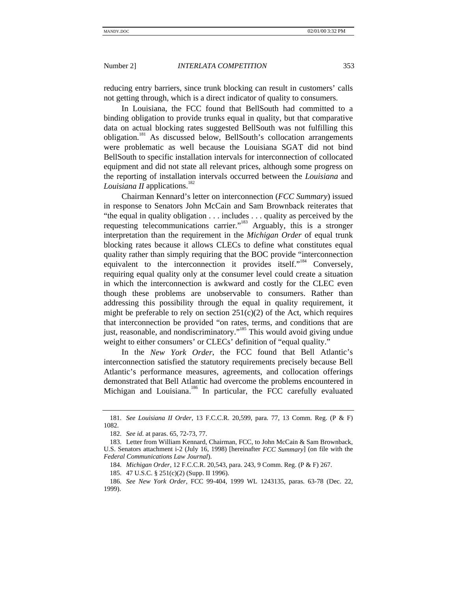reducing entry barriers, since trunk blocking can result in customers' calls not getting through, which is a direct indicator of quality to consumers.

In Louisiana, the FCC found that BellSouth had committed to a binding obligation to provide trunks equal in quality, but that comparative data on actual blocking rates suggested BellSouth was not fulfilling this obligation.<sup>181</sup> As discussed below, BellSouth's collocation arrangements were problematic as well because the Louisiana SGAT did not bind BellSouth to specific installation intervals for interconnection of collocated equipment and did not state all relevant prices, although some progress on the reporting of installation intervals occurred between the *Louisiana* and *Louisiana II* applications.<sup>182</sup>

Chairman Kennard's letter on interconnection (*FCC Summary*) issued in response to Senators John McCain and Sam Brownback reiterates that "the equal in quality obligation . . . includes . . . quality as perceived by the requesting telecommunications carrier."<sup>183</sup> Arguably, this is a stronger interpretation than the requirement in the *Michigan Order* of equal trunk blocking rates because it allows CLECs to define what constitutes equal quality rather than simply requiring that the BOC provide "interconnection equivalent to the interconnection it provides itself."<sup>184</sup> Conversely, requiring equal quality only at the consumer level could create a situation in which the interconnection is awkward and costly for the CLEC even though these problems are unobservable to consumers. Rather than addressing this possibility through the equal in quality requirement, it might be preferable to rely on section  $251(c)(2)$  of the Act, which requires that interconnection be provided "on rates, terms, and conditions that are just, reasonable, and nondiscriminatory."<sup>185</sup> This would avoid giving undue weight to either consumers' or CLECs' definition of "equal quality."

In the *New York Order*, the FCC found that Bell Atlantic's interconnection satisfied the statutory requirements precisely because Bell Atlantic's performance measures, agreements, and collocation offerings demonstrated that Bell Atlantic had overcome the problems encountered in Michigan and Louisiana.<sup>186</sup> In particular, the FCC carefully evaluated

<sup>181.</sup> *See Louisiana II Order*, 13 F.C.C.R. 20,599, para. 77, 13 Comm. Reg. (P & F) 1082.

<sup>182.</sup> *See id.* at paras. 65, 72-73, 77.

<sup>183.</sup> Letter from William Kennard, Chairman, FCC, to John McCain & Sam Brownback, U.S. Senators attachment i-2 (July 16, 1998) [hereinafter *FCC Summary*] (on file with the *Federal Communications Law Journal*).

<sup>184.</sup> *Michigan Order*, 12 F.C.C.R. 20,543, para. 243, 9 Comm. Reg. (P & F) 267.

<sup>185. 47</sup> U.S.C. § 251(c)(2) (Supp. II 1996).

<sup>186.</sup> *See New York Order*, FCC 99-404, 1999 WL 1243135, paras. 63-78 (Dec. 22, 1999).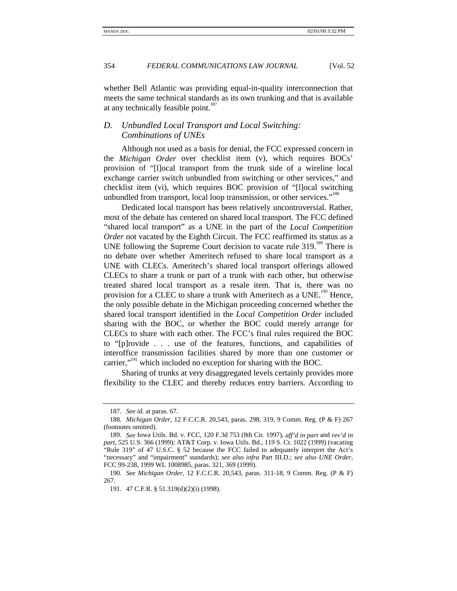whether Bell Atlantic was providing equal-in-quality interconnection that meets the same technical standards as its own trunking and that is available at any technically feasible point.<sup>187</sup>

# *D. Unbundled Local Transport and Local Switching: Combinations of UNEs*

Although not used as a basis for denial, the FCC expressed concern in the *Michigan Order* over checklist item (v), which requires BOCs' provision of "[l]ocal transport from the trunk side of a wireline local exchange carrier switch unbundled from switching or other services," and checklist item (vi), which requires BOC provision of "[l]ocal switching unbundled from transport, local loop transmission, or other services."<sup>188</sup>

Dedicated local transport has been relatively uncontroversial. Rather, most of the debate has centered on shared local transport. The FCC defined "shared local transport" as a UNE in the part of the *Local Competition Order* not vacated by the Eighth Circuit. The FCC reaffirmed its status as a UNE following the Supreme Court decision to vacate rule 319.<sup>189</sup> There is no debate over whether Ameritech refused to share local transport as a UNE with CLECs. Ameritech's shared local transport offerings allowed CLECs to share a trunk or part of a trunk with each other, but otherwise treated shared local transport as a resale item. That is, there was no provision for a CLEC to share a trunk with Ameritech as a UNE.<sup>190</sup> Hence, the only possible debate in the Michigan proceeding concerned whether the shared local transport identified in the *Local Competition Order* included sharing with the BOC, or whether the BOC could merely arrange for CLECs to share with each other. The FCC's final rules required the BOC to "[p]rovide . . . use of the features, functions, and capabilities of interoffice transmission facilities shared by more than one customer or carrier,"<sup>191</sup> which included no exception for sharing with the BOC.

Sharing of trunks at very disaggregated levels certainly provides more flexibility to the CLEC and thereby reduces entry barriers. According to

<sup>187.</sup> *See id.* at paras. 67.

<sup>188.</sup> *Michigan Order*, 12 F.C.C.R. 20,543, paras. 298, 319, 9 Comm. Reg. (P & F) 267 (footnotes omitted).

<sup>189.</sup> *See* Iowa Utils. Bd. v. FCC, 120 F.3d 753 (8th Cir. 1997), *aff'd in part* and *rev'd in part*, 525 U.S. 366 (1999); AT&T Corp. v. Iowa Utils. Bd., 119 S. Ct. 1022 (1999) (vacating "Rule 319" of 47 U.S.C. § 52 because the FCC failed to adequately interpret the Act's "necessary" and "impairment" standards); *see also infra* Part III.D.; *see also UNE Order*, FCC 99-238, 1999 WL 1008985, paras. 321, 369 (1999).

<sup>190.</sup> *See Michigan Order*, 12 F.C.C.R. 20,543, paras. 311-18, 9 Comm. Reg. (P & F) 267.

<sup>191. 47</sup> C.F.R. § 51.319(d)(2)(i) (1998).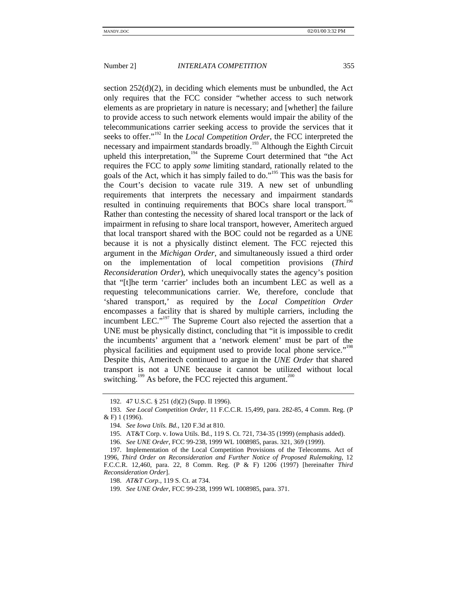section 252(d)(2), in deciding which elements must be unbundled, the Act only requires that the FCC consider "whether access to such network elements as are proprietary in nature is necessary; and [whether] the failure to provide access to such network elements would impair the ability of the telecommunications carrier seeking access to provide the services that it seeks to offer."<sup>192</sup> In the *Local Competition Order*, the FCC interpreted the necessary and impairment standards broadly.<sup>193</sup> Although the Eighth Circuit upheld this interpretation,<sup>194</sup> the Supreme Court determined that "the Act" requires the FCC to apply *some* limiting standard, rationally related to the goals of the Act, which it has simply failed to do."<sup>195</sup> This was the basis for the Court's decision to vacate rule 319. A new set of unbundling requirements that interprets the necessary and impairment standards resulted in continuing requirements that BOCs share local transport.<sup>196</sup> Rather than contesting the necessity of shared local transport or the lack of impairment in refusing to share local transport, however, Ameritech argued that local transport shared with the BOC could not be regarded as a UNE because it is not a physically distinct element. The FCC rejected this argument in the *Michigan Order*, and simultaneously issued a third order on the implementation of local competition provisions (*Third Reconsideration Order*), which unequivocally states the agency's position that "[t]he term 'carrier' includes both an incumbent LEC as well as a requesting telecommunications carrier. We, therefore, conclude that 'shared transport,' as required by the *Local Competition Order* encompasses a facility that is shared by multiple carriers, including the incumbent LEC."<sup>197</sup> The Supreme Court also rejected the assertion that a UNE must be physically distinct, concluding that "it is impossible to credit the incumbents' argument that a 'network element' must be part of the physical facilities and equipment used to provide local phone service."<sup>198</sup> Despite this, Ameritech continued to argue in the *UNE Order* that shared transport is not a UNE because it cannot be utilized without local switching.<sup>199</sup> As before, the FCC rejected this argument.<sup>200</sup>

<sup>192. 47</sup> U.S.C. § 251 (d)(2) (Supp. II 1996).

<sup>193.</sup> *See Local Competition Order*, 11 F.C.C.R. 15,499, para. 282-85, 4 Comm. Reg. (P & F) 1 (1996).

<sup>194.</sup> *See Iowa Utils. Bd.*, 120 F.3d at 810.

<sup>195.</sup> AT&T Corp. v. Iowa Utils. Bd., 119 S. Ct. 721, 734-35 (1999) (emphasis added).

<sup>196.</sup> *See UNE Order*, FCC 99-238, 1999 WL 1008985, paras. 321, 369 (1999).

<sup>197.</sup> Implementation of the Local Competition Provisions of the Telecomms. Act of 1996, *Third Order on Reconsideration and Further Notice of Proposed Rulemaking*, 12 F.C.C.R. 12,460, para. 22, 8 Comm. Reg. (P & F) 1206 (1997) [hereinafter *Third Reconsideration Order*].

<sup>198.</sup> *AT&T Corp.*, 119 S. Ct. at 734.

<sup>199.</sup> *See UNE Order*, FCC 99-238, 1999 WL 1008985, para. 371.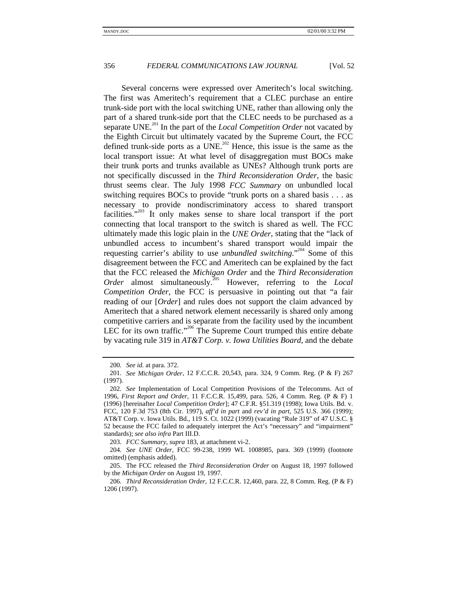Several concerns were expressed over Ameritech's local switching. The first was Ameritech's requirement that a CLEC purchase an entire trunk-side port with the local switching UNE, rather than allowing only the part of a shared trunk-side port that the CLEC needs to be purchased as a separate UNE.<sup>201</sup> In the part of the *Local Competition Order* not vacated by the Eighth Circuit but ultimately vacated by the Supreme Court, the FCC defined trunk-side ports as a  $\overrightarrow{UNE}$ .<sup>202</sup> Hence, this issue is the same as the local transport issue: At what level of disaggregation must BOCs make their trunk ports and trunks available as UNEs? Although trunk ports are not specifically discussed in the *Third Reconsideration Order*, the basic thrust seems clear. The July 1998 *FCC Summary* on unbundled local switching requires BOCs to provide "trunk ports on a shared basis . . . as necessary to provide nondiscriminatory access to shared transport facilities."<sup>203</sup> It only makes sense to share local transport if the port connecting that local transport to the switch is shared as well. The FCC ultimately made this logic plain in the *UNE Order*, stating that the "lack of unbundled access to incumbent's shared transport would impair the requesting carrier's ability to use *unbundled switching*." 204 Some of this disagreement between the FCC and Ameritech can be explained by the fact that the FCC released the *Michigan Order* and the *Third Reconsideration Order* almost simultaneously.<sup>205</sup> However, referring to the *Local Competition Order*, the FCC is persuasive in pointing out that "a fair reading of our [*Order*] and rules does not support the claim advanced by Ameritech that a shared network element necessarily is shared only among competitive carriers and is separate from the facility used by the incumbent LEC for its own traffic."<sup>206</sup> The Supreme Court trumped this entire debate by vacating rule 319 in *AT&T Corp. v. Iowa Utilities Board*, and the debate

203. *FCC Summary*, *supra* 183, at attachment vi-2.

<sup>200.</sup> *See id.* at para. 372.

<sup>201.</sup> *See Michigan Order*, 12 F.C.C.R. 20,543, para. 324, 9 Comm. Reg. (P & F) 267 (1997).

<sup>202.</sup> *See* Implementation of Local Competition Provisions of the Telecomms. Act of 1996, *First Report and Order*, 11 F.C.C.R. 15,499, para. 526, 4 Comm. Reg. (P & F) 1 (1996) [hereinafter *Local Competition Order*]; 47 C.F.R. §51.319 (1998); Iowa Utils. Bd. v. FCC, 120 F.3d 753 (8th Cir. 1997), *aff'd in part* and *rev'd in part*, 525 U.S. 366 (1999); AT&T Corp. v. Iowa Utils. Bd., 119 S. Ct. 1022 (1999) (vacating "Rule 319" of 47 U.S.C. § 52 because the FCC failed to adequately interpret the Act's "necessary" and "impairment" standards); *see also infra* Part III.D.

<sup>204.</sup> *See UNE Order*, FCC 99-238, 1999 WL 1008985, para. 369 (1999) (footnote omitted) (emphasis added).

<sup>205.</sup> The FCC released the *Third Reconsideration Order* on August 18, 1997 followed by the *Michigan Order* on August 19, 1997.

<sup>206.</sup> *Third Reconsideration Order*, 12 F.C.C.R. 12,460, para. 22, 8 Comm. Reg. (P & F) 1206 (1997).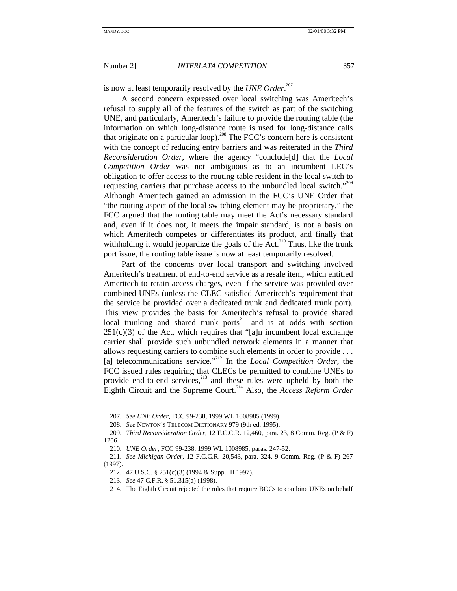is now at least temporarily resolved by the *UNE Order*. 207

A second concern expressed over local switching was Ameritech's refusal to supply all of the features of the switch as part of the switching UNE, and particularly, Ameritech's failure to provide the routing table (the information on which long-distance route is used for long-distance calls that originate on a particular loop).<sup>208</sup> The FCC's concern here is consistent with the concept of reducing entry barriers and was reiterated in the *Third Reconsideration Order*, where the agency "conclude[d] that the *Local Competition Order* was not ambiguous as to an incumbent LEC's obligation to offer access to the routing table resident in the local switch to requesting carriers that purchase access to the unbundled local switch."<sup>209</sup> Although Ameritech gained an admission in the FCC's UNE Order that "the routing aspect of the local switching element may be proprietary," the FCC argued that the routing table may meet the Act's necessary standard and, even if it does not, it meets the impair standard, is not a basis on which Ameritech competes or differentiates its product, and finally that withholding it would jeopardize the goals of the Act.<sup>210</sup> Thus, like the trunk port issue, the routing table issue is now at least temporarily resolved.

Part of the concerns over local transport and switching involved Ameritech's treatment of end-to-end service as a resale item, which entitled Ameritech to retain access charges, even if the service was provided over combined UNEs (unless the CLEC satisfied Ameritech's requirement that the service be provided over a dedicated trunk and dedicated trunk port). This view provides the basis for Ameritech's refusal to provide shared local trunking and shared trunk ports<sup>211</sup> and is at odds with section  $251(c)(3)$  of the Act, which requires that "[a]n incumbent local exchange carrier shall provide such unbundled network elements in a manner that allows requesting carriers to combine such elements in order to provide . . . [a] telecommunications service."<sup>212</sup> In the *Local Competition Order*, the FCC issued rules requiring that CLECs be permitted to combine UNEs to provide end-to-end services,<sup>213</sup> and these rules were upheld by both the Eighth Circuit and the Supreme Court.214 Also, the *Access Reform Order*

<sup>207.</sup> *See UNE Order*, FCC 99-238, 1999 WL 1008985 (1999).

<sup>208.</sup> *See* NEWTON'S TELECOM DICTIONARY 979 (9th ed. 1995).

<sup>209.</sup> *Third Reconsideration Order*, 12 F.C.C.R. 12,460, para. 23, 8 Comm. Reg. (P & F) 1206.

<sup>210.</sup> *UNE Order*, FCC 99-238, 1999 WL 1008985, paras. 247-52.

<sup>211.</sup> *See Michigan Order*, 12 F.C.C.R. 20,543, para. 324, 9 Comm. Reg. (P & F) 267 (1997).

<sup>212. 47</sup> U.S.C. § 251(c)(3) (1994 & Supp. III 1997).

<sup>213.</sup> *See* 47 C.F.R. § 51.315(a) (1998).

<sup>214.</sup> The Eighth Circuit rejected the rules that require BOCs to combine UNEs on behalf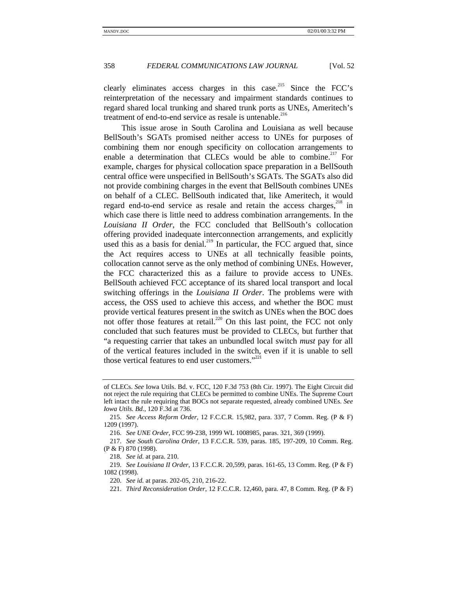clearly eliminates access charges in this case.<sup>215</sup> Since the FCC's reinterpretation of the necessary and impairment standards continues to regard shared local trunking and shared trunk ports as UNEs, Ameritech's treatment of end-to-end service as resale is untenable.<sup>216</sup>

This issue arose in South Carolina and Louisiana as well because BellSouth's SGATs promised neither access to UNEs for purposes of combining them nor enough specificity on collocation arrangements to enable a determination that CLECs would be able to combine.<sup>217</sup> For example, charges for physical collocation space preparation in a BellSouth central office were unspecified in BellSouth's SGATs. The SGATs also did not provide combining charges in the event that BellSouth combines UNEs on behalf of a CLEC. BellSouth indicated that, like Ameritech, it would regard end-to-end service as resale and retain the access charges, $2^{18}$  in which case there is little need to address combination arrangements. In the *Louisiana II Order*, the FCC concluded that BellSouth's collocation offering provided inadequate interconnection arrangements, and explicitly used this as a basis for denial.<sup>219</sup> In particular, the FCC argued that, since the Act requires access to UNEs at all technically feasible points, collocation cannot serve as the only method of combining UNEs. However, the FCC characterized this as a failure to provide access to UNEs. BellSouth achieved FCC acceptance of its shared local transport and local switching offerings in the *Louisiana II Order*. The problems were with access, the OSS used to achieve this access, and whether the BOC must provide vertical features present in the switch as UNEs when the BOC does not offer those features at retail.<sup>220</sup> On this last point, the FCC not only concluded that such features must be provided to CLECs, but further that "a requesting carrier that takes an unbundled local switch *must* pay for all of the vertical features included in the switch, even if it is unable to sell those vertical features to end user customers."<sup>221</sup>

of CLECs. *See* Iowa Utils. Bd. v. FCC, 120 F.3d 753 (8th Cir. 1997). The Eight Circuit did not reject the rule requiring that CLECs be permitted to combine UNEs. The Supreme Court left intact the rule requiring that BOCs not separate requested, already combined UNEs. *See Iowa Utils. Bd.*, 120 F.3d at 736.

<sup>215.</sup> *See Access Reform Order*, 12 F.C.C.R. 15,982, para. 337, 7 Comm. Reg. (P & F) 1209 (1997).

<sup>216.</sup> *See UNE Order*, FCC 99-238, 1999 WL 1008985, paras. 321, 369 (1999).

<sup>217.</sup> *See South Carolina Order*, 13 F.C.C.R. 539, paras. 185, 197-209, 10 Comm. Reg. (P & F) 870 (1998).

<sup>218.</sup> *See id.* at para. 210.

<sup>219.</sup> *See Louisiana II Order*, 13 F.C.C.R. 20,599, paras. 161-65, 13 Comm. Reg. (P & F) 1082 (1998).

<sup>220.</sup> *See id.* at paras. 202-05, 210, 216-22.

<sup>221.</sup> *Third Reconsideration Order*, 12 F.C.C.R. 12,460, para. 47, 8 Comm. Reg. (P & F)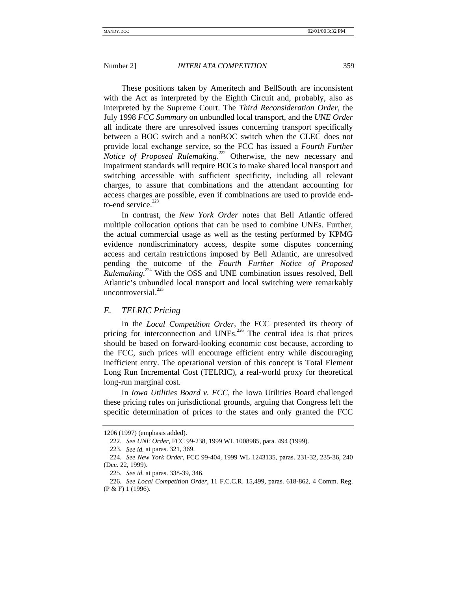These positions taken by Ameritech and BellSouth are inconsistent with the Act as interpreted by the Eighth Circuit and, probably, also as interpreted by the Supreme Court. The *Third Reconsideration Order*, the July 1998 *FCC Summary* on unbundled local transport, and the *UNE Order* all indicate there are unresolved issues concerning transport specifically between a BOC switch and a nonBOC switch when the CLEC does not provide local exchange service, so the FCC has issued a *Fourth Further Notice of Proposed Rulemaking*. 222 Otherwise, the new necessary and impairment standards will require BOCs to make shared local transport and switching accessible with sufficient specificity, including all relevant charges, to assure that combinations and the attendant accounting for access charges are possible, even if combinations are used to provide endto-end service. $223$ 

In contrast, the *New York Order* notes that Bell Atlantic offered multiple collocation options that can be used to combine UNEs. Further, the actual commercial usage as well as the testing performed by KPMG evidence nondiscriminatory access, despite some disputes concerning access and certain restrictions imposed by Bell Atlantic, are unresolved pending the outcome of the *Fourth Further Notice of Proposed* Rulemaking.<sup>224</sup> With the OSS and UNE combination issues resolved, Bell Atlantic's unbundled local transport and local switching were remarkably uncontroversial.<sup>225</sup>

# *E. TELRIC Pricing*

In the *Local Competition Order*, the FCC presented its theory of pricing for interconnection and UNEs.<sup>226</sup> The central idea is that prices should be based on forward-looking economic cost because, according to the FCC, such prices will encourage efficient entry while discouraging inefficient entry. The operational version of this concept is Total Element Long Run Incremental Cost (TELRIC), a real-world proxy for theoretical long-run marginal cost.

In *Iowa Utilities Board v. FCC*, the Iowa Utilities Board challenged these pricing rules on jurisdictional grounds, arguing that Congress left the specific determination of prices to the states and only granted the FCC

<sup>1206 (1997) (</sup>emphasis added).

<sup>222.</sup> *See UNE Order*, FCC 99-238, 1999 WL 1008985, para. 494 (1999).

<sup>223.</sup> *See id.* at paras. 321, 369.

<sup>224.</sup> *See New York Order*, FCC 99-404, 1999 WL 1243135, paras. 231-32, 235-36, 240 (Dec. 22, 1999).

<sup>225.</sup> *See id.* at paras. 338-39, 346.

<sup>226.</sup> *See Local Competition Order*, 11 F.C.C.R. 15,499, paras. 618-862, 4 Comm. Reg. (P & F) 1 (1996).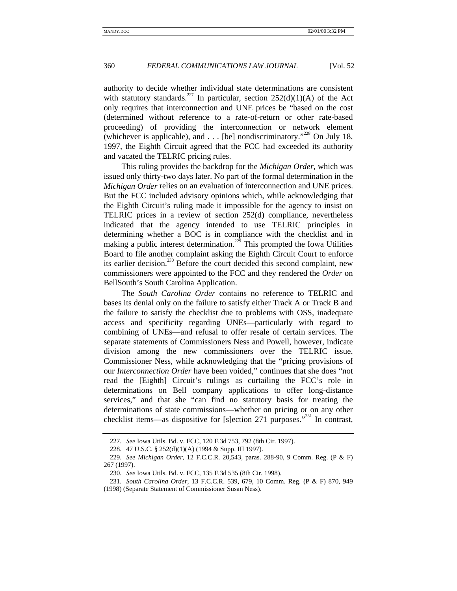authority to decide whether individual state determinations are consistent with statutory standards.<sup>227</sup> In particular, section 252(d)(1)(A) of the Act only requires that interconnection and UNE prices be "based on the cost (determined without reference to a rate-of-return or other rate-based proceeding) of providing the interconnection or network element (whichever is applicable), and . . . [be] nondiscriminatory."<sup>228</sup> On July 18, 1997, the Eighth Circuit agreed that the FCC had exceeded its authority and vacated the TELRIC pricing rules.

This ruling provides the backdrop for the *Michigan Order*, which was issued only thirty-two days later. No part of the formal determination in the *Michigan Order* relies on an evaluation of interconnection and UNE prices. But the FCC included advisory opinions which, while acknowledging that the Eighth Circuit's ruling made it impossible for the agency to insist on TELRIC prices in a review of section 252(d) compliance, nevertheless indicated that the agency intended to use TELRIC principles in determining whether a BOC is in compliance with the checklist and in making a public interest determination.<sup>229</sup> This prompted the Iowa Utilities Board to file another complaint asking the Eighth Circuit Court to enforce its earlier decision.<sup>230</sup> Before the court decided this second complaint, new commissioners were appointed to the FCC and they rendered the *Order* on BellSouth's South Carolina Application.

The *South Carolina Order* contains no reference to TELRIC and bases its denial only on the failure to satisfy either Track A or Track B and the failure to satisfy the checklist due to problems with OSS, inadequate access and specificity regarding UNEs—particularly with regard to combining of UNEs—and refusal to offer resale of certain services. The separate statements of Commissioners Ness and Powell, however, indicate division among the new commissioners over the TELRIC issue. Commissioner Ness, while acknowledging that the "pricing provisions of our *Interconnection Order* have been voided," continues that she does "not read the [Eighth] Circuit's rulings as curtailing the FCC's role in determinations on Bell company applications to offer long-distance services," and that she "can find no statutory basis for treating the determinations of state commissions—whether on pricing or on any other checklist items—as dispositive for [s]ection 271 purposes.<sup> $231$ </sup> In contrast,

<sup>227.</sup> *See* Iowa Utils. Bd. v. FCC, 120 F.3d 753, 792 (8th Cir. 1997).

<sup>228. 47</sup> U.S.C. § 252(d)(1)(A) (1994 & Supp. III 1997).

<sup>229.</sup> *See Michigan Order*, 12 F.C.C.R. 20,543, paras. 288-90, 9 Comm. Reg. (P & F) 267 (1997).

<sup>230.</sup> *See* Iowa Utils. Bd. v. FCC, 135 F.3d 535 (8th Cir. 1998).

<sup>231.</sup> *South Carolina Order*, 13 F.C.C.R. 539, 679, 10 Comm. Reg. (P & F) 870, 949 (1998) (Separate Statement of Commissioner Susan Ness).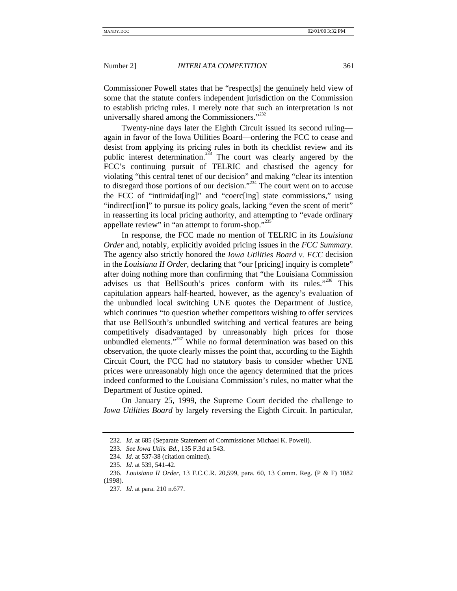Commissioner Powell states that he "respect[s] the genuinely held view of some that the statute confers independent jurisdiction on the Commission to establish pricing rules. I merely note that such an interpretation is not universally shared among the Commissioners."<sup>232</sup>

Twenty-nine days later the Eighth Circuit issued its second ruling again in favor of the Iowa Utilities Board—ordering the FCC to cease and desist from applying its pricing rules in both its checklist review and its public interest determination.<sup>233</sup> The court was clearly angered by the FCC's continuing pursuit of TELRIC and chastised the agency for violating "this central tenet of our decision" and making "clear its intention to disregard those portions of our decision."<sup>234</sup> The court went on to accuse the FCC of "intimidat[ing]" and "coerc[ing] state commissions," using "indirect[ion]" to pursue its policy goals, lacking "even the scent of merit" in reasserting its local pricing authority, and attempting to "evade ordinary appellate review" in "an attempt to forum-shop."<sup>235</sup>

In response, the FCC made no mention of TELRIC in its *Louisiana Order* and, notably, explicitly avoided pricing issues in the *FCC Summary*. The agency also strictly honored the *Iowa Utilities Board v. FCC* decision in the *Louisiana II Order*, declaring that "our [pricing] inquiry is complete" after doing nothing more than confirming that "the Louisiana Commission advises us that BellSouth's prices conform with its rules."<sup>236</sup> This capitulation appears half-hearted, however, as the agency's evaluation of the unbundled local switching UNE quotes the Department of Justice, which continues "to question whether competitors wishing to offer services that use BellSouth's unbundled switching and vertical features are being competitively disadvantaged by unreasonably high prices for those unbundled elements."<sup>237</sup> While no formal determination was based on this observation, the quote clearly misses the point that, according to the Eighth Circuit Court, the FCC had no statutory basis to consider whether UNE prices were unreasonably high once the agency determined that the prices indeed conformed to the Louisiana Commission's rules, no matter what the Department of Justice opined.

On January 25, 1999, the Supreme Court decided the challenge to *Iowa Utilities Board* by largely reversing the Eighth Circuit. In particular,

<sup>232.</sup> *Id.* at 685 (Separate Statement of Commissioner Michael K. Powell).

<sup>233.</sup> *See Iowa Utils. Bd.*, 135 F.3d at 543.

<sup>234.</sup> *Id.* at 537-38 (citation omitted).

<sup>235.</sup> *Id.* at 539, 541-42.

<sup>236.</sup> *Louisiana II Order*, 13 F.C.C.R. 20,599, para. 60, 13 Comm. Reg. (P & F) 1082 (1998).

<sup>237.</sup> *Id.* at para. 210 n.677.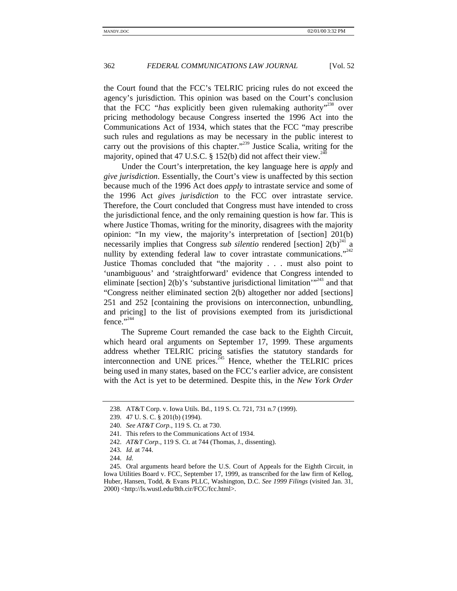the Court found that the FCC's TELRIC pricing rules do not exceed the agency's jurisdiction. This opinion was based on the Court's conclusion that the FCC "has explicitly been given rulemaking authority"<sup>238</sup> over pricing methodology because Congress inserted the 1996 Act into the Communications Act of 1934, which states that the FCC "may prescribe such rules and regulations as may be necessary in the public interest to carry out the provisions of this chapter."<sup>239</sup> Justice Scalia, writing for the majority, opined that 47 U.S.C. § 152(b) did not affect their view.<sup>24</sup>

Under the Court's interpretation, the key language here is *apply* and *give jurisdiction*. Essentially, the Court's view is unaffected by this section because much of the 1996 Act does *apply* to intrastate service and some of the 1996 Act *gives jurisdiction* to the FCC over intrastate service. Therefore, the Court concluded that Congress must have intended to cross the jurisdictional fence, and the only remaining question is how far. This is where Justice Thomas, writing for the minority, disagrees with the majority opinion: "In my view, the majority's interpretation of [section] 201(b) necessarily implies that Congress *sub silentio* rendered [section]  $2(b)^{24}$  a nullity by extending federal law to cover intrastate communications."<sup>242</sup> Justice Thomas concluded that "the majority . . . must also point to 'unambiguous' and 'straightforward' evidence that Congress intended to eliminate [section]  $2(b)$ 's 'substantive jurisdictional limitation'<sup>243</sup> and that "Congress neither eliminated section 2(b) altogether nor added [sections] 251 and 252 [containing the provisions on interconnection, unbundling, and pricing] to the list of provisions exempted from its jurisdictional fence." $344$ 

The Supreme Court remanded the case back to the Eighth Circuit, which heard oral arguments on September 17, 1999. These arguments address whether TELRIC pricing satisfies the statutory standards for interconnection and UNE prices.<sup>245</sup> Hence, whether the TELRIC prices being used in many states, based on the FCC's earlier advice, are consistent with the Act is yet to be determined. Despite this, in the *New York Order*

<sup>238.</sup> AT&T Corp. v. Iowa Utils. Bd., 119 S. Ct. 721, 731 n.7 (1999).

<sup>239. 47</sup> U. S. C. § 201(b) (1994).

<sup>240.</sup> *See AT&T Corp.*, 119 S. Ct. at 730.

<sup>241.</sup> This refers to the Communications Act of 1934.

<sup>242.</sup> *AT&T Corp.*, 119 S. Ct. at 744 (Thomas, J., dissenting).

<sup>243.</sup> *Id.* at 744.

<sup>244.</sup> *Id.*

<sup>245.</sup> Oral arguments heard before the U.S. Court of Appeals for the Eighth Circuit, in Iowa Utilities Board v. FCC, September 17, 1999, as transcribed for the law firm of Kellog, Huber, Hansen, Todd, & Evans PLLC, Washington, D.C. *See 1999 Filings* (visited Jan. 31, 2000) <http://ls.wustl.edu/8th.cir/FCC/fcc.html>.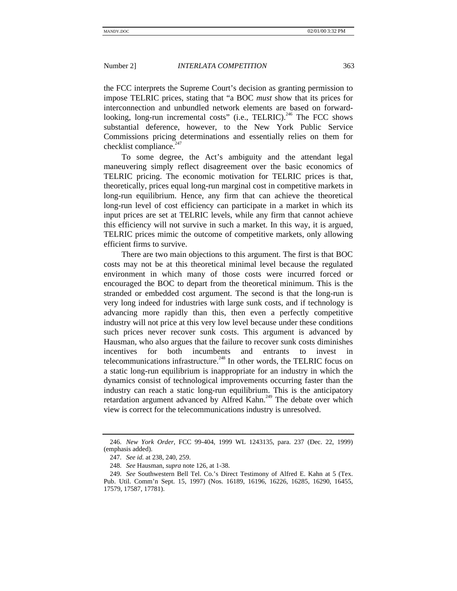the FCC interprets the Supreme Court's decision as granting permission to impose TELRIC prices, stating that "a BOC *must* show that its prices for interconnection and unbundled network elements are based on forwardlooking, long-run incremental costs" (i.e., TELRIC).<sup>246</sup> The FCC shows substantial deference, however, to the New York Public Service Commissions pricing determinations and essentially relies on them for checklist compliance. $247$ 

To some degree, the Act's ambiguity and the attendant legal maneuvering simply reflect disagreement over the basic economics of TELRIC pricing. The economic motivation for TELRIC prices is that, theoretically, prices equal long-run marginal cost in competitive markets in long-run equilibrium. Hence, any firm that can achieve the theoretical long-run level of cost efficiency can participate in a market in which its input prices are set at TELRIC levels, while any firm that cannot achieve this efficiency will not survive in such a market. In this way, it is argued, TELRIC prices mimic the outcome of competitive markets, only allowing efficient firms to survive.

There are two main objections to this argument. The first is that BOC costs may not be at this theoretical minimal level because the regulated environment in which many of those costs were incurred forced or encouraged the BOC to depart from the theoretical minimum. This is the stranded or embedded cost argument. The second is that the long-run is very long indeed for industries with large sunk costs, and if technology is advancing more rapidly than this, then even a perfectly competitive industry will not price at this very low level because under these conditions such prices never recover sunk costs. This argument is advanced by Hausman, who also argues that the failure to recover sunk costs diminishes incentives for both incumbents and entrants to invest in telecommunications infrastructure.<sup>248</sup> In other words, the TELRIC focus on a static long-run equilibrium is inappropriate for an industry in which the dynamics consist of technological improvements occurring faster than the industry can reach a static long-run equilibrium. This is the anticipatory retardation argument advanced by Alfred Kahn.<sup>249</sup> The debate over which view is correct for the telecommunications industry is unresolved.

<sup>246.</sup> *New York Order*, FCC 99-404, 1999 WL 1243135, para. 237 (Dec. 22, 1999) (emphasis added).

<sup>247.</sup> *See id.* at 238, 240, 259.

<sup>248.</sup> *See* Hausman, *supra* note 126, at 1-38.

<sup>249.</sup> *See* Southwestern Bell Tel. Co.'s Direct Testimony of Alfred E. Kahn at 5 (Tex. Pub. Util. Comm'n Sept. 15, 1997) (Nos. 16189, 16196, 16226, 16285, 16290, 16455, 17579, 17587, 17781).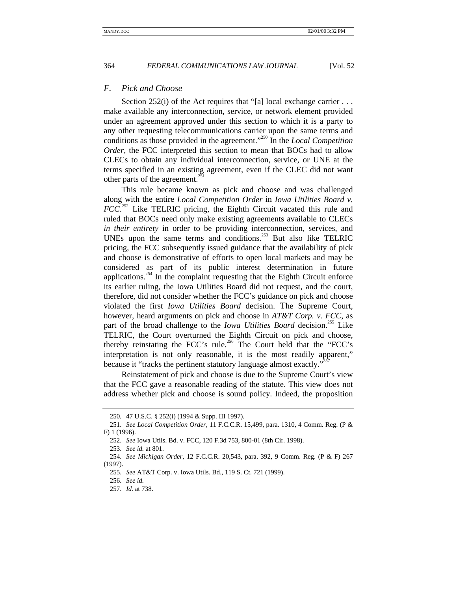### *F. Pick and Choose*

Section 252(i) of the Act requires that "[a] local exchange carrier . . . make available any interconnection, service, or network element provided under an agreement approved under this section to which it is a party to any other requesting telecommunications carrier upon the same terms and conditions as those provided in the agreement." <sup>250</sup> In the *Local Competition Order*, the FCC interpreted this section to mean that BOCs had to allow CLECs to obtain any individual interconnection, service, or UNE at the terms specified in an existing agreement, even if the CLEC did not want other parts of the agreement.<sup>2</sup>

This rule became known as pick and choose and was challenged along with the entire *Local Competition Order* in *Iowa Utilities Board v. FCC*.<sup>252</sup> Like TELRIC pricing, the Eighth Circuit vacated this rule and ruled that BOCs need only make existing agreements available to CLECs *in their entirety* in order to be providing interconnection, services, and UNEs upon the same terms and conditions.<sup>253</sup> But also like TELRIC pricing, the FCC subsequently issued guidance that the availability of pick and choose is demonstrative of efforts to open local markets and may be considered as part of its public interest determination in future applications.<sup>254</sup> In the complaint requesting that the Eighth Circuit enforce its earlier ruling, the Iowa Utilities Board did not request, and the court, therefore, did not consider whether the FCC's guidance on pick and choose violated the first *Iowa Utilities Board* decision. The Supreme Court, however, heard arguments on pick and choose in *AT&T Corp. v. FCC*, as part of the broad challenge to the *Iowa Utilities Board* decision.<sup>255</sup> Like TELRIC, the Court overturned the Eighth Circuit on pick and choose, thereby reinstating the FCC's rule.<sup>256</sup> The Court held that the "FCC's interpretation is not only reasonable, it is the most readily apparent," because it "tracks the pertinent statutory language almost exactly."<sup>257</sup>

Reinstatement of pick and choose is due to the Supreme Court's view that the FCC gave a reasonable reading of the statute. This view does not address whether pick and choose is sound policy. Indeed, the proposition

<sup>250</sup>*.* 47 U.S.C. § 252(i) (1994 & Supp. III 1997).

<sup>251.</sup> *See Local Competition Order*, 11 F.C.C.R. 15,499, para. 1310, 4 Comm. Reg. (P & F) 1 (1996).

<sup>252.</sup> *See* Iowa Utils. Bd. v. FCC, 120 F.3d 753, 800-01 (8th Cir. 1998).

<sup>253.</sup> *See id.* at 801.

<sup>254.</sup> *See Michigan Order*, 12 F.C.C.R. 20,543, para. 392, 9 Comm. Reg. (P & F) 267 (1997).

<sup>255.</sup> *See* AT&T Corp. v. Iowa Utils. Bd., 119 S. Ct. 721 (1999).

<sup>256.</sup> *See id.*

<sup>257.</sup> *Id.* at 738.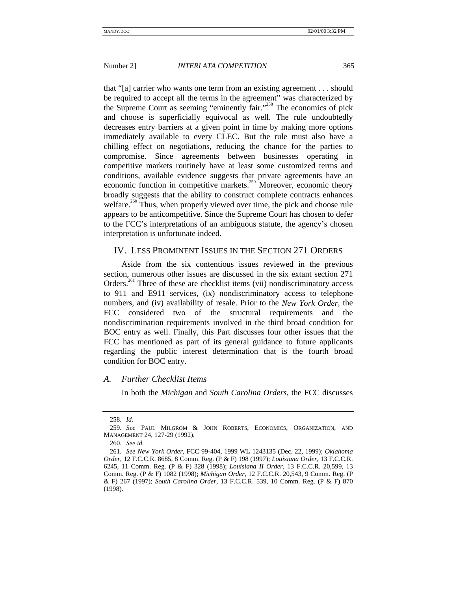that "[a] carrier who wants one term from an existing agreement . . . should be required to accept all the terms in the agreement" was characterized by the Supreme Court as seeming "eminently fair."<sup>258</sup> The economics of pick and choose is superficially equivocal as well. The rule undoubtedly decreases entry barriers at a given point in time by making more options immediately available to every CLEC. But the rule must also have a chilling effect on negotiations, reducing the chance for the parties to compromise. Since agreements between businesses operating in competitive markets routinely have at least some customized terms and conditions, available evidence suggests that private agreements have an economic function in competitive markets.<sup>259</sup> Moreover, economic theory broadly suggests that the ability to construct complete contracts enhances welfare.<sup>260</sup> Thus, when properly viewed over time, the pick and choose rule appears to be anticompetitive. Since the Supreme Court has chosen to defer to the FCC's interpretations of an ambiguous statute, the agency's chosen interpretation is unfortunate indeed.

# IV. LESS PROMINENT ISSUES IN THE SECTION 271 ORDERS

Aside from the six contentious issues reviewed in the previous section, numerous other issues are discussed in the six extant section 271 Orders.<sup>261</sup> Three of these are checklist items (vii) nondiscriminatory access to 911 and E911 services, (ix) nondiscriminatory access to telephone numbers, and (iv) availability of resale. Prior to the *New York Order*, the FCC considered two of the structural requirements and the nondiscrimination requirements involved in the third broad condition for BOC entry as well. Finally, this Part discusses four other issues that the FCC has mentioned as part of its general guidance to future applicants regarding the public interest determination that is the fourth broad condition for BOC entry.

### *A. Further Checklist Items*

In both the *Michigan* and *South Carolina Orders*, the FCC discusses

<sup>258.</sup> *Id.*

<sup>259.</sup> *See* PAUL MILGROM & JOHN ROBERTS, ECONOMICS, ORGANIZATION, AND MANAGEMENT 24, 127-29 (1992).

<sup>260.</sup> *See id.*

<sup>261.</sup> *See New York Order*, FCC 99-404, 1999 WL 1243135 (Dec. 22, 1999); *Oklahoma Order*, 12 F.C.C.R. 8685, 8 Comm. Reg. (P & F) 198 (1997); *Louisiana Order*, 13 F.C.C.R. 6245, 11 Comm. Reg. (P & F) 328 (1998); *Louisiana II Order*, 13 F.C.C.R. 20,599, 13 Comm. Reg. (P & F) 1082 (1998); *Michigan Order*, 12 F.C.C.R. 20,543, 9 Comm. Reg. (P & F) 267 (1997); *South Carolina Order*, 13 F.C.C.R. 539, 10 Comm. Reg. (P & F) 870 (1998).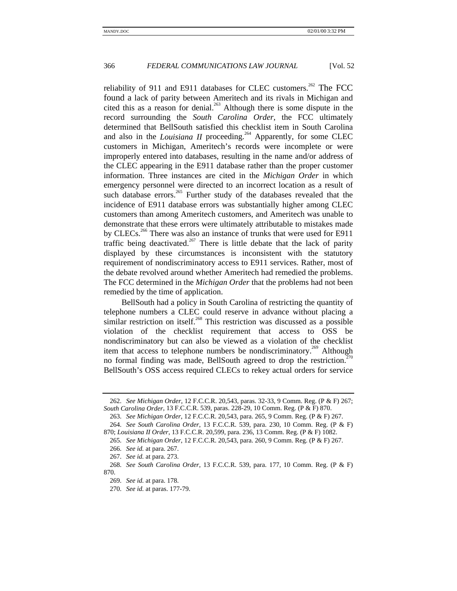reliability of 911 and E911 databases for CLEC customers.<sup>262</sup> The FCC found a lack of parity between Ameritech and its rivals in Michigan and cited this as a reason for denial.<sup>263</sup> Although there is some dispute in the record surrounding the *South Carolina Order*, the FCC ultimately determined that BellSouth satisfied this checklist item in South Carolina and also in the *Louisiana II* proceeding.<sup>264</sup> Apparently, for some CLEC customers in Michigan, Ameritech's records were incomplete or were improperly entered into databases, resulting in the name and/or address of the CLEC appearing in the E911 database rather than the proper customer information. Three instances are cited in the *Michigan Order* in which emergency personnel were directed to an incorrect location as a result of such database errors.<sup>265</sup> Further study of the databases revealed that the incidence of E911 database errors was substantially higher among CLEC customers than among Ameritech customers, and Ameritech was unable to demonstrate that these errors were ultimately attributable to mistakes made by CLECs.<sup>266</sup> There was also an instance of trunks that were used for E911 traffic being deactivated.<sup>267</sup> There is little debate that the lack of parity displayed by these circumstances is inconsistent with the statutory requirement of nondiscriminatory access to E911 services. Rather, most of the debate revolved around whether Ameritech had remedied the problems. The FCC determined in the *Michigan Order* that the problems had not been remedied by the time of application.

BellSouth had a policy in South Carolina of restricting the quantity of telephone numbers a CLEC could reserve in advance without placing a similar restriction on itself.<sup>268</sup> This restriction was discussed as a possible violation of the checklist requirement that access to OSS be nondiscriminatory but can also be viewed as a violation of the checklist item that access to telephone numbers be nondiscriminatory.<sup>269</sup> Although no formal finding was made, BellSouth agreed to drop the restriction.<sup>2</sup> BellSouth's OSS access required CLECs to rekey actual orders for service

<sup>262.</sup> *See Michigan Order*, 12 F.C.C.R. 20,543, paras. 32-33, 9 Comm. Reg. (P & F) 267; *South Carolina Order*, 13 F.C.C.R. 539, paras. 228-29, 10 Comm. Reg. (P & F) 870.

<sup>263.</sup> *See Michigan Order*, 12 F.C.C.R. 20,543, para. 265, 9 Comm. Reg. (P & F) 267. 264. *See South Carolina Order*, 13 F.C.C.R. 539, para. 230, 10 Comm. Reg. (P & F)

<sup>870;</sup> *Louisiana II Order*, 13 F.C.C.R. 20,599, para. 236, 13 Comm. Reg. (P & F) 1082.

<sup>265.</sup> *See Michigan Order*, 12 F.C.C.R. 20,543, para. 260, 9 Comm. Reg. (P & F) 267.

<sup>266.</sup> *See id.* at para. 267.

<sup>267.</sup> *See id.* at para. 273.

<sup>268.</sup> *See South Carolina Order*, 13 F.C.C.R. 539, para. 177, 10 Comm. Reg. (P & F) 870.

<sup>269.</sup> *See id.* at para. 178.

<sup>270.</sup> *See id.* at paras. 177-79.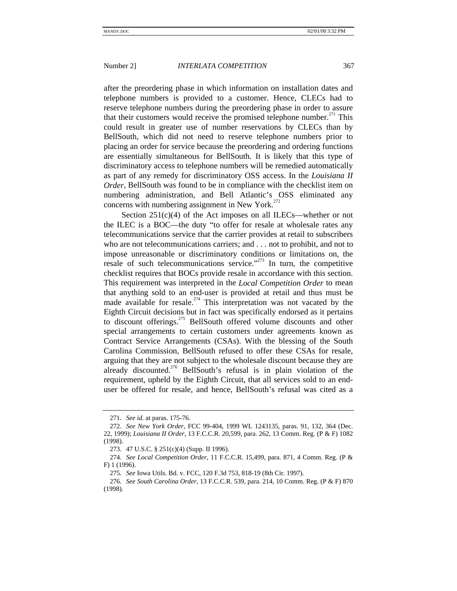after the preordering phase in which information on installation dates and telephone numbers is provided to a customer. Hence, CLECs had to reserve telephone numbers during the preordering phase in order to assure that their customers would receive the promised telephone number.<sup> $271$ </sup> This could result in greater use of number reservations by CLECs than by BellSouth, which did not need to reserve telephone numbers prior to placing an order for service because the preordering and ordering functions are essentially simultaneous for BellSouth. It is likely that this type of discriminatory access to telephone numbers will be remedied automatically as part of any remedy for discriminatory OSS access. In the *Louisiana II Order*, BellSouth was found to be in compliance with the checklist item on numbering administration, and Bell Atlantic's OSS eliminated any concerns with numbering assignment in New York. $^{272}$ 

Section  $251(c)(4)$  of the Act imposes on all ILECs—whether or not the ILEC is a BOC—the duty "to offer for resale at wholesale rates any telecommunications service that the carrier provides at retail to subscribers who are not telecommunications carriers; and . . . not to prohibit, and not to impose unreasonable or discriminatory conditions or limitations on, the resale of such telecommunications service."<sup>273</sup> In turn, the competitive checklist requires that BOCs provide resale in accordance with this section. This requirement was interpreted in the *Local Competition Order* to mean that anything sold to an end-user is provided at retail and thus must be made available for resale.<sup>274</sup> This interpretation was not vacated by the Eighth Circuit decisions but in fact was specifically endorsed as it pertains to discount offerings.<sup>275</sup> BellSouth offered volume discounts and other special arrangements to certain customers under agreements known as Contract Service Arrangements (CSAs). With the blessing of the South Carolina Commission, BellSouth refused to offer these CSAs for resale, arguing that they are not subject to the wholesale discount because they are already discounted.<sup>276</sup> BellSouth's refusal is in plain violation of the requirement, upheld by the Eighth Circuit, that all services sold to an enduser be offered for resale, and hence, BellSouth's refusal was cited as a

<sup>271.</sup> *See id.* at paras. 175-76.

<sup>272.</sup> *See New York Order*, FCC 99-404, 1999 WL 1243135, paras. 91, 132, 364 (Dec. 22, 1999); *Louisiana II Order*, 13 F.C.C.R. 20,599, para. 262, 13 Comm. Reg. (P & F) 1082 (1998).

<sup>273. 47</sup> U.S.C. § 251(c)(4) (Supp. II 1996).

<sup>274.</sup> *See Local Competition Order*, 11 F.C.C.R. 15,499, para. 871, 4 Comm. Reg. (P & F) 1 (1996).

<sup>275.</sup> *See* Iowa Utils. Bd. v. FCC, 120 F.3d 753, 818-19 (8th Cir. 1997).

<sup>276.</sup> *See South Carolina Order*, 13 F.C.C.R. 539, para. 214, 10 Comm. Reg. (P & F) 870 (1998).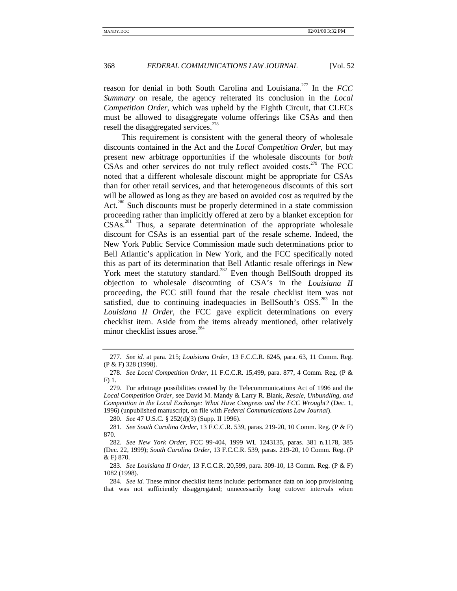reason for denial in both South Carolina and Louisiana.277 In the *FCC Summary* on resale, the agency reiterated its conclusion in the *Local Competition Order*, which was upheld by the Eighth Circuit, that CLECs must be allowed to disaggregate volume offerings like CSAs and then resell the disaggregated services.<sup>278</sup>

This requirement is consistent with the general theory of wholesale discounts contained in the Act and the *Local Competition Order*, but may present new arbitrage opportunities if the wholesale discounts for *both* CSAs and other services do not truly reflect avoided costs.<sup>279</sup> The FCC noted that a different wholesale discount might be appropriate for CSAs than for other retail services, and that heterogeneous discounts of this sort will be allowed as long as they are based on avoided cost as required by the Act.<sup>280</sup> Such discounts must be properly determined in a state commission proceeding rather than implicitly offered at zero by a blanket exception for  $CSAs.<sup>281</sup>$  Thus, a separate determination of the appropriate wholesale discount for CSAs is an essential part of the resale scheme. Indeed, the New York Public Service Commission made such determinations prior to Bell Atlantic's application in New York, and the FCC specifically noted this as part of its determination that Bell Atlantic resale offerings in New York meet the statutory standard.<sup>282</sup> Even though BellSouth dropped its objection to wholesale discounting of CSA's in the *Louisiana II* proceeding, the FCC still found that the resale checklist item was not satisfied, due to continuing inadequacies in BellSouth's  $\text{OSS}^{283}$  In the *Louisiana II Order*, the FCC gave explicit determinations on every checklist item. Aside from the items already mentioned, other relatively minor checklist issues arose.<sup>284</sup>

280. *See* 47 U.S.C. § 252(d)(3) (Supp. II 1996).

<sup>277.</sup> *See id.* at para. 215; *Louisiana Order*, 13 F.C.C.R. 6245, para. 63, 11 Comm. Reg. (P & F) 328 (1998).

<sup>278.</sup> *See Local Competition Order*, 11 F.C.C.R. 15,499, para. 877, 4 Comm. Reg. (P & F) 1.

<sup>279.</sup> For arbitrage possibilities created by the Telecommunications Act of 1996 and the *Local Competition Order*, see David M. Mandy & Larry R. Blank, *Resale, Unbundling, and Competition in the Local Exchange: What Have Congress and the FCC Wrought?* (Dec. 1, 1996) (unpublished manuscript, on file with *Federal Communications Law Journal*).

<sup>281.</sup> *See South Carolina Order*, 13 F.C.C.R. 539, paras. 219-20, 10 Comm. Reg. (P & F) 870.

<sup>282.</sup> *See New York Order*, FCC 99-404, 1999 WL 1243135, paras. 381 n.1178, 385 (Dec. 22, 1999); *South Carolina Order*, 13 F.C.C.R. 539, paras. 219-20, 10 Comm. Reg. (P & F) 870.

<sup>283.</sup> *See Louisiana II Order*, 13 F.C.C.R. 20,599, para. 309-10, 13 Comm. Reg. (P & F) 1082 (1998).

<sup>284.</sup> *See id.* These minor checklist items include: performance data on loop provisioning that was not sufficiently disaggregated; unnecessarily long cutover intervals when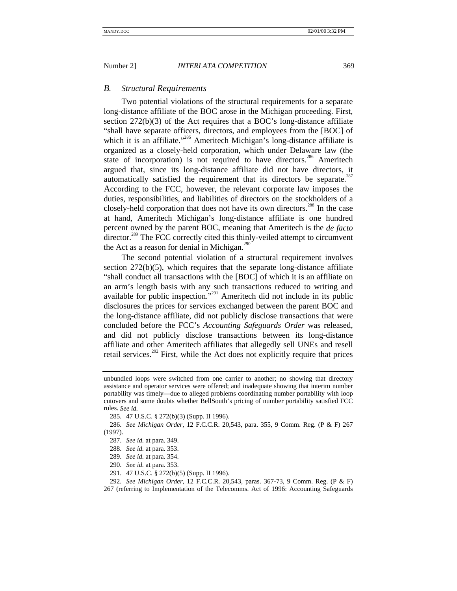#### *B. Structural Requirements*

Two potential violations of the structural requirements for a separate long-distance affiliate of the BOC arose in the Michigan proceeding. First, section 272(b)(3) of the Act requires that a BOC's long-distance affiliate "shall have separate officers, directors, and employees from the [BOC] of which it is an affiliate."<sup>285</sup> Ameritech Michigan's long-distance affiliate is organized as a closely-held corporation, which under Delaware law (the state of incorporation) is not required to have directors.<sup>286</sup> Ameritech argued that, since its long-distance affiliate did not have directors, it automatically satisfied the requirement that its directors be separate.<sup>287</sup> According to the FCC, however, the relevant corporate law imposes the duties, responsibilities, and liabilities of directors on the stockholders of a closely-held corporation that does not have its own directors.<sup>288</sup> In the case at hand, Ameritech Michigan's long-distance affiliate is one hundred percent owned by the parent BOC, meaning that Ameritech is the *de facto* director.<sup>289</sup> The FCC correctly cited this thinly-veiled attempt to circumvent the Act as a reason for denial in Michigan.<sup>290</sup>

The second potential violation of a structural requirement involves section 272(b)(5), which requires that the separate long-distance affiliate "shall conduct all transactions with the [BOC] of which it is an affiliate on an arm's length basis with any such transactions reduced to writing and available for public inspection."<sup>291</sup> Ameritech did not include in its public disclosures the prices for services exchanged between the parent BOC and the long-distance affiliate, did not publicly disclose transactions that were concluded before the FCC's *Accounting Safeguards Order* was released, and did not publicly disclose transactions between its long-distance affiliate and other Ameritech affiliates that allegedly sell UNEs and resell retail services.<sup>292</sup> First, while the Act does not explicitly require that prices

292. *See Michigan Order*, 12 F.C.C.R. 20,543, paras. 367-73, 9 Comm. Reg. (P & F) 267 (referring to Implementation of the Telecomms. Act of 1996: Accounting Safeguards

unbundled loops were switched from one carrier to another; no showing that directory assistance and operator services were offered; and inadequate showing that interim number portability was timely—due to alleged problems coordinating number portability with loop cutovers and some doubts whether BellSouth's pricing of number portability satisfied FCC rules. *See id.*

<sup>285. 47</sup> U.S.C. § 272(b)(3) (Supp. II 1996).

<sup>286.</sup> *See Michigan Order*, 12 F.C.C.R. 20,543, para. 355, 9 Comm. Reg. (P & F) 267 (1997).

<sup>287.</sup> *See id.* at para. 349.

<sup>288.</sup> *See id.* at para. 353.

<sup>289.</sup> *See id.* at para. 354.

<sup>290.</sup> *See id.* at para. 353.

<sup>291. 47</sup> U.S.C. § 272(b)(5) (Supp. II 1996).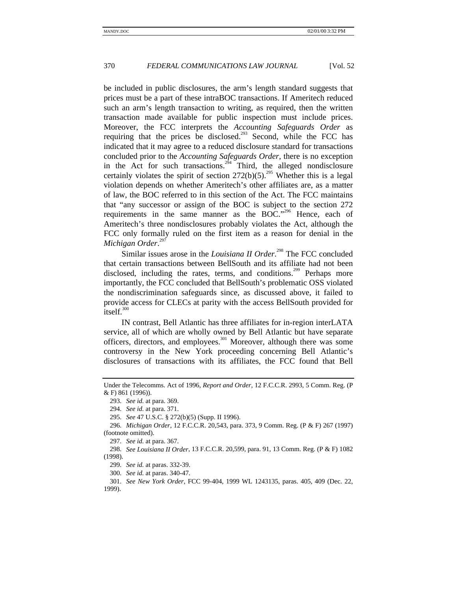be included in public disclosures, the arm's length standard suggests that prices must be a part of these intraBOC transactions. If Ameritech reduced such an arm's length transaction to writing, as required, then the written transaction made available for public inspection must include prices. Moreover, the FCC interprets the *Accounting Safeguards Order* as requiring that the prices be disclosed.<sup>293</sup> Second, while the FCC has indicated that it may agree to a reduced disclosure standard for transactions concluded prior to the *Accounting Safeguards Order*, there is no exception in the Act for such transactions.<sup> $^{294}$ </sup> Third, the alleged nondisclosure certainly violates the spirit of section  $272(b)(5)$ <sup>255</sup> Whether this is a legal violation depends on whether Ameritech's other affiliates are, as a matter of law, the BOC referred to in this section of the Act. The FCC maintains that "any successor or assign of the BOC is subject to the section 272 requirements in the same manner as the BOC."<sup>296</sup> Hence, each of Ameritech's three nondisclosures probably violates the Act, although the FCC only formally ruled on the first item as a reason for denial in the *Michigan Order*. 297

Similar issues arose in the *Louisiana II Order*. <sup>298</sup> The FCC concluded that certain transactions between BellSouth and its affiliate had not been disclosed, including the rates, terms, and conditions.<sup>299</sup> Perhaps more importantly, the FCC concluded that BellSouth's problematic OSS violated the nondiscrimination safeguards since, as discussed above, it failed to provide access for CLECs at parity with the access BellSouth provided for itself.<sup>300</sup>

IN contrast, Bell Atlantic has three affiliates for in-region interLATA service, all of which are wholly owned by Bell Atlantic but have separate officers, directors, and employees.<sup>301</sup> Moreover, although there was some controversy in the New York proceeding concerning Bell Atlantic's disclosures of transactions with its affiliates, the FCC found that Bell

Under the Telecomms. Act of 1996, *Report and Order*, 12 F.C.C.R. 2993, 5 Comm. Reg. (P & F) 861 (1996)).

<sup>293.</sup> *See id.* at para. 369.

<sup>294.</sup> *See id.* at para. 371.

<sup>295.</sup> *See* 47 U.S.C. § 272(b)(5) (Supp. II 1996).

<sup>296.</sup> *Michigan Order*, 12 F.C.C.R. 20,543, para. 373, 9 Comm. Reg. (P & F) 267 (1997) (footnote omitted).

<sup>297.</sup> *See id.* at para. 367.

<sup>298.</sup> *See Louisiana II Order*, 13 F.C.C.R. 20,599, para. 91, 13 Comm. Reg. (P & F) 1082 (1998).

<sup>299.</sup> *See id.* at paras. 332-39.

<sup>300.</sup> *See id.* at paras. 340-47.

<sup>301.</sup> *See New York Order*, FCC 99-404, 1999 WL 1243135, paras. 405, 409 (Dec. 22, 1999).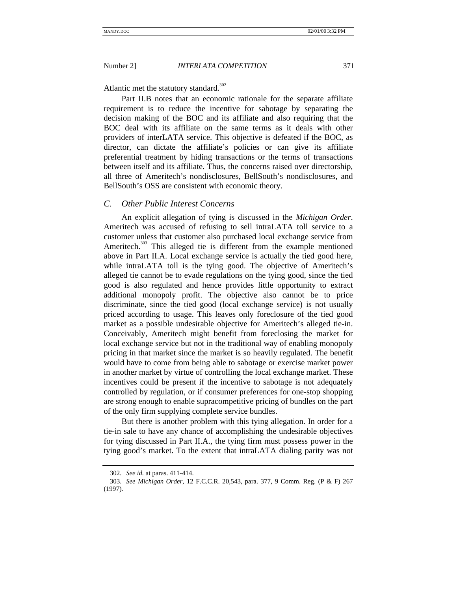Atlantic met the statutory standard. $302$ 

Part II.B notes that an economic rationale for the separate affiliate requirement is to reduce the incentive for sabotage by separating the decision making of the BOC and its affiliate and also requiring that the BOC deal with its affiliate on the same terms as it deals with other providers of interLATA service. This objective is defeated if the BOC, as director, can dictate the affiliate's policies or can give its affiliate preferential treatment by hiding transactions or the terms of transactions between itself and its affiliate. Thus, the concerns raised over directorship, all three of Ameritech's nondisclosures, BellSouth's nondisclosures, and BellSouth's OSS are consistent with economic theory.

# *C. Other Public Interest Concerns*

An explicit allegation of tying is discussed in the *Michigan Order*. Ameritech was accused of refusing to sell intraLATA toll service to a customer unless that customer also purchased local exchange service from Ameritech.<sup>303</sup> This alleged tie is different from the example mentioned above in Part II.A. Local exchange service is actually the tied good here, while intraLATA toll is the tying good. The objective of Ameritech's alleged tie cannot be to evade regulations on the tying good, since the tied good is also regulated and hence provides little opportunity to extract additional monopoly profit. The objective also cannot be to price discriminate, since the tied good (local exchange service) is not usually priced according to usage. This leaves only foreclosure of the tied good market as a possible undesirable objective for Ameritech's alleged tie-in. Conceivably, Ameritech might benefit from foreclosing the market for local exchange service but not in the traditional way of enabling monopoly pricing in that market since the market is so heavily regulated. The benefit would have to come from being able to sabotage or exercise market power in another market by virtue of controlling the local exchange market. These incentives could be present if the incentive to sabotage is not adequately controlled by regulation, or if consumer preferences for one-stop shopping are strong enough to enable supracompetitive pricing of bundles on the part of the only firm supplying complete service bundles.

But there is another problem with this tying allegation. In order for a tie-in sale to have any chance of accomplishing the undesirable objectives for tying discussed in Part II.A., the tying firm must possess power in the tying good's market. To the extent that intraLATA dialing parity was not

<sup>302.</sup> *See id.* at paras. 411-414.

<sup>303.</sup> *See Michigan Order*, 12 F.C.C.R. 20,543, para. 377, 9 Comm. Reg. (P & F) 267 (1997).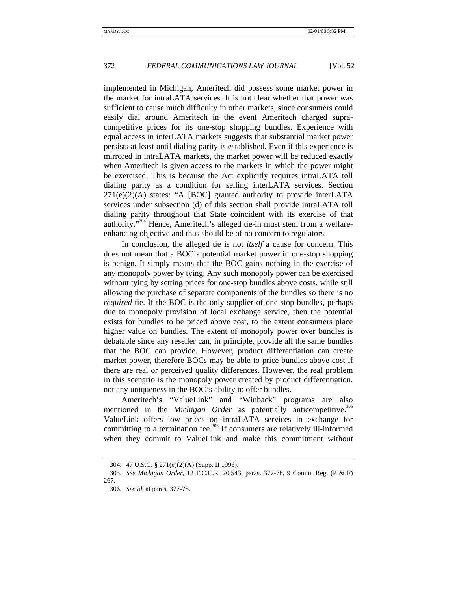implemented in Michigan, Ameritech did possess some market power in the market for intraLATA services. It is not clear whether that power was sufficient to cause much difficulty in other markets, since consumers could easily dial around Ameritech in the event Ameritech charged supracompetitive prices for its one-stop shopping bundles. Experience with equal access in interLATA markets suggests that substantial market power persists at least until dialing parity is established. Even if this experience is mirrored in intraLATA markets, the market power will be reduced exactly when Ameritech is given access to the markets in which the power might be exercised. This is because the Act explicitly requires intraLATA toll dialing parity as a condition for selling interLATA services. Section  $271(e)(2)(A)$  states: "A [BOC] granted authority to provide interLATA services under subsection (d) of this section shall provide intraLATA toll dialing parity throughout that State coincident with its exercise of that authority."<sup>304</sup> Hence, Ameritech's alleged tie-in must stem from a welfareenhancing objective and thus should be of no concern to regulators.

In conclusion, the alleged tie is not *itself* a cause for concern. This does not mean that a BOC's potential market power in one-stop shopping is benign. It simply means that the BOC gains nothing in the exercise of any monopoly power by tying. Any such monopoly power can be exercised without tying by setting prices for one-stop bundles above costs, while still allowing the purchase of separate components of the bundles so there is no *required* tie. If the BOC is the only supplier of one-stop bundles, perhaps due to monopoly provision of local exchange service, then the potential exists for bundles to be priced above cost, to the extent consumers place higher value on bundles. The extent of monopoly power over bundles is debatable since any reseller can, in principle, provide all the same bundles that the BOC can provide. However, product differentiation can create market power, therefore BOCs may be able to price bundles above cost if there are real or perceived quality differences. However, the real problem in this scenario is the monopoly power created by product differentiation, not any uniqueness in the BOC's ability to offer bundles.

Ameritech's "ValueLink" and "Winback" programs are also mentioned in the *Michigan Order* as potentially anticompetitive.<sup>305</sup> ValueLink offers low prices on intraLATA services in exchange for committing to a termination fee.<sup>306</sup> If consumers are relatively ill-informed when they commit to ValueLink and make this commitment without

<sup>304. 47</sup> U.S.C. § 271(e)(2)(A) (Supp. II 1996).

<sup>305.</sup> *See Michigan Order*, 12 F.C.C.R. 20,543, paras. 377-78, 9 Comm. Reg. (P & F) 267.

<sup>306.</sup> *See id.* at paras. 377-78.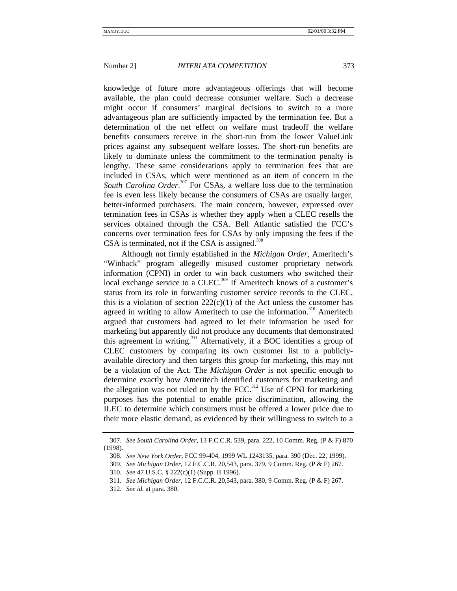knowledge of future more advantageous offerings that will become available, the plan could decrease consumer welfare. Such a decrease might occur if consumers' marginal decisions to switch to a more advantageous plan are sufficiently impacted by the termination fee. But a determination of the net effect on welfare must tradeoff the welfare benefits consumers receive in the short-run from the lower ValueLink prices against any subsequent welfare losses. The short-run benefits are likely to dominate unless the commitment to the termination penalty is lengthy. These same considerations apply to termination fees that are included in CSAs, which were mentioned as an item of concern in the South Carolina Order.<sup>307</sup> For CSAs, a welfare loss due to the termination fee is even less likely because the consumers of CSAs are usually larger, better-informed purchasers. The main concern, however, expressed over termination fees in CSAs is whether they apply when a CLEC resells the services obtained through the CSA. Bell Atlantic satisfied the FCC's concerns over termination fees for CSAs by only imposing the fees if the CSA is terminated, not if the CSA is assigned. $308$ 

Although not firmly established in the *Michigan Order*, Ameritech's "Winback" program allegedly misused customer proprietary network information (CPNI) in order to win back customers who switched their local exchange service to a CLEC.<sup>309</sup> If Ameritech knows of a customer's status from its role in forwarding customer service records to the CLEC, this is a violation of section  $222(c)(1)$  of the Act unless the customer has agreed in writing to allow Ameritech to use the information.<sup>310</sup> Ameritech argued that customers had agreed to let their information be used for marketing but apparently did not produce any documents that demonstrated this agreement in writing.311 Alternatively, if a BOC identifies a group of CLEC customers by comparing its own customer list to a publiclyavailable directory and then targets this group for marketing, this may not be a violation of the Act. The *Michigan Order* is not specific enough to determine exactly how Ameritech identified customers for marketing and the allegation was not ruled on by the FCC.<sup>312</sup> Use of CPNI for marketing purposes has the potential to enable price discrimination, allowing the ILEC to determine which consumers must be offered a lower price due to their more elastic demand, as evidenced by their willingness to switch to a

<sup>307.</sup> *See South Carolina Order*, 13 F.C.C.R. 539, para. 222, 10 Comm. Reg. (P & F) 870 (1998).

<sup>308.</sup> *See New York Order*, FCC 99-404, 1999 WL 1243135, para. 390 (Dec. 22, 1999).

<sup>309.</sup> *See Michigan Order*, 12 F.C.C.R. 20,543, para. 379, 9 Comm. Reg. (P & F) 267.

<sup>310.</sup> *See* 47 U.S.C. § 222(c)(1) (Supp. II 1996).

<sup>311.</sup> *See Michigan Order*, 12 F.C.C.R. 20,543, para. 380, 9 Comm. Reg. (P & F) 267.

<sup>312.</sup> *See id.* at para. 380.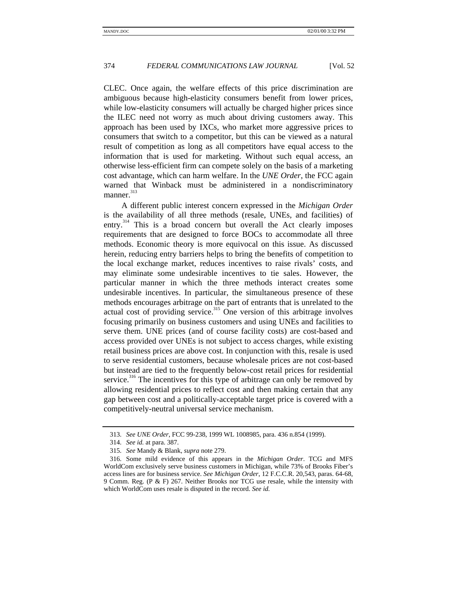CLEC. Once again, the welfare effects of this price discrimination are ambiguous because high-elasticity consumers benefit from lower prices, while low-elasticity consumers will actually be charged higher prices since the ILEC need not worry as much about driving customers away. This approach has been used by IXCs, who market more aggressive prices to consumers that switch to a competitor, but this can be viewed as a natural result of competition as long as all competitors have equal access to the information that is used for marketing. Without such equal access, an otherwise less-efficient firm can compete solely on the basis of a marketing cost advantage, which can harm welfare. In the *UNE Order*, the FCC again warned that Winback must be administered in a nondiscriminatory manner. $313$ 

A different public interest concern expressed in the *Michigan Order* is the availability of all three methods (resale, UNEs, and facilities) of entry.<sup>314</sup> This is a broad concern but overall the Act clearly imposes requirements that are designed to force BOCs to accommodate all three methods. Economic theory is more equivocal on this issue. As discussed herein, reducing entry barriers helps to bring the benefits of competition to the local exchange market, reduces incentives to raise rivals' costs, and may eliminate some undesirable incentives to tie sales. However, the particular manner in which the three methods interact creates some undesirable incentives. In particular, the simultaneous presence of these methods encourages arbitrage on the part of entrants that is unrelated to the actual cost of providing service.<sup>315</sup> One version of this arbitrage involves focusing primarily on business customers and using UNEs and facilities to serve them. UNE prices (and of course facility costs) are cost-based and access provided over UNEs is not subject to access charges, while existing retail business prices are above cost. In conjunction with this, resale is used to serve residential customers, because wholesale prices are not cost-based but instead are tied to the frequently below-cost retail prices for residential service.<sup>316</sup> The incentives for this type of arbitrage can only be removed by allowing residential prices to reflect cost and then making certain that any gap between cost and a politically-acceptable target price is covered with a competitively-neutral universal service mechanism.

<sup>313.</sup> *See UNE Order*, FCC 99-238, 1999 WL 1008985, para. 436 n.854 (1999).

<sup>314.</sup> *See id.* at para. 387.

<sup>315.</sup> *See* Mandy & Blank, *supra* note 279.

<sup>316.</sup> Some mild evidence of this appears in the *Michigan Order*. TCG and MFS WorldCom exclusively serve business customers in Michigan, while 73% of Brooks Fiber's access lines are for business service. *See Michigan Order*, 12 F.C.C.R. 20,543, paras. 64-68, 9 Comm. Reg. (P & F) 267. Neither Brooks nor TCG use resale, while the intensity with which WorldCom uses resale is disputed in the record. *See id.*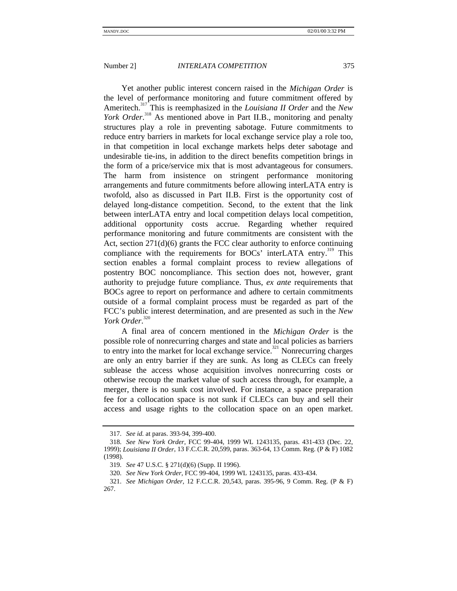Yet another public interest concern raised in the *Michigan Order* is the level of performance monitoring and future commitment offered by Ameritech.<sup>317</sup> This is reemphasized in the *Louisiana II Order* and the *New* York Order.<sup>318</sup> As mentioned above in Part II.B., monitoring and penalty structures play a role in preventing sabotage. Future commitments to reduce entry barriers in markets for local exchange service play a role too, in that competition in local exchange markets helps deter sabotage and undesirable tie-ins, in addition to the direct benefits competition brings in the form of a price/service mix that is most advantageous for consumers. The harm from insistence on stringent performance monitoring arrangements and future commitments before allowing interLATA entry is twofold, also as discussed in Part II.B. First is the opportunity cost of delayed long-distance competition. Second, to the extent that the link between interLATA entry and local competition delays local competition, additional opportunity costs accrue. Regarding whether required performance monitoring and future commitments are consistent with the Act, section 271(d)(6) grants the FCC clear authority to enforce continuing compliance with the requirements for BOCs' interLATA entry.<sup>319</sup> This section enables a formal complaint process to review allegations of postentry BOC noncompliance. This section does not, however, grant authority to prejudge future compliance. Thus, *ex ante* requirements that BOCs agree to report on performance and adhere to certain commitments outside of a formal complaint process must be regarded as part of the FCC's public interest determination, and are presented as such in the *New York Order*. 320

A final area of concern mentioned in the *Michigan Order* is the possible role of nonrecurring charges and state and local policies as barriers to entry into the market for local exchange service.<sup>321</sup> Nonrecurring charges are only an entry barrier if they are sunk. As long as CLECs can freely sublease the access whose acquisition involves nonrecurring costs or otherwise recoup the market value of such access through, for example, a merger, there is no sunk cost involved. For instance, a space preparation fee for a collocation space is not sunk if CLECs can buy and sell their access and usage rights to the collocation space on an open market.

<sup>317.</sup> *See id.* at paras. 393-94, 399-400.

<sup>318.</sup> *See New York Order*, FCC 99-404, 1999 WL 1243135, paras. 431-433 (Dec. 22, 1999); *Louisiana II Order*, 13 F.C.C.R. 20,599, paras. 363-64, 13 Comm. Reg. (P & F) 1082 (1998).

<sup>319.</sup> *See* 47 U.S.C. § 271(d)(6) (Supp. II 1996).

<sup>320.</sup> *See New York Order*, FCC 99-404, 1999 WL 1243135, paras. 433-434.

<sup>321.</sup> *See Michigan Order*, 12 F.C.C.R. 20,543, paras. 395-96, 9 Comm. Reg. (P & F) 267.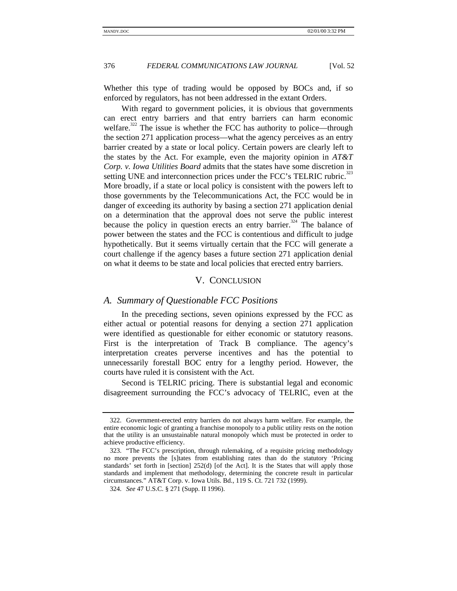Whether this type of trading would be opposed by BOCs and, if so enforced by regulators, has not been addressed in the extant Orders.

With regard to government policies, it is obvious that governments can erect entry barriers and that entry barriers can harm economic welfare.<sup>322</sup> The issue is whether the FCC has authority to police—through the section 271 application process—what the agency perceives as an entry barrier created by a state or local policy. Certain powers are clearly left to the states by the Act. For example, even the majority opinion in *AT&T Corp. v. Iowa Utilities Board* admits that the states have some discretion in setting UNE and interconnection prices under the FCC's TELRIC rubric.<sup>323</sup> More broadly, if a state or local policy is consistent with the powers left to those governments by the Telecommunications Act, the FCC would be in danger of exceeding its authority by basing a section 271 application denial on a determination that the approval does not serve the public interest because the policy in question erects an entry barrier.<sup>324</sup> The balance of power between the states and the FCC is contentious and difficult to judge hypothetically. But it seems virtually certain that the FCC will generate a court challenge if the agency bases a future section 271 application denial on what it deems to be state and local policies that erected entry barriers.

# V. CONCLUSION

# *A. Summary of Questionable FCC Positions*

In the preceding sections, seven opinions expressed by the FCC as either actual or potential reasons for denying a section 271 application were identified as questionable for either economic or statutory reasons. First is the interpretation of Track B compliance. The agency's interpretation creates perverse incentives and has the potential to unnecessarily forestall BOC entry for a lengthy period. However, the courts have ruled it is consistent with the Act.

Second is TELRIC pricing. There is substantial legal and economic disagreement surrounding the FCC's advocacy of TELRIC, even at the

<sup>322.</sup> Government-erected entry barriers do not always harm welfare. For example, the entire economic logic of granting a franchise monopoly to a public utility rests on the notion that the utility is an unsustainable natural monopoly which must be protected in order to achieve productive efficiency.

<sup>323.</sup> "The FCC's prescription, through rulemaking, of a requisite pricing methodology no more prevents the [s]tates from establishing rates than do the statutory 'Pricing standards' set forth in [section] 252(d) [of the Act]. It is the States that will apply those standards and implement that methodology, determining the concrete result in particular circumstances." AT&T Corp. v. Iowa Utils. Bd., 119 S. Ct. 721 732 (1999).

<sup>324.</sup> *See* 47 U.S.C. § 271 (Supp. II 1996).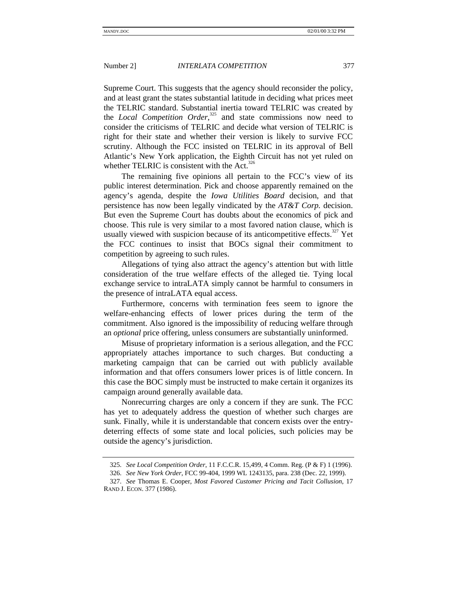Supreme Court. This suggests that the agency should reconsider the policy, and at least grant the states substantial latitude in deciding what prices meet

the TELRIC standard. Substantial inertia toward TELRIC was created by the *Local Competition Order*, 325 and state commissions now need to consider the criticisms of TELRIC and decide what version of TELRIC is right for their state and whether their version is likely to survive FCC scrutiny. Although the FCC insisted on TELRIC in its approval of Bell Atlantic's New York application, the Eighth Circuit has not yet ruled on whether TELRIC is consistent with the Act. $326$ 

The remaining five opinions all pertain to the FCC's view of its public interest determination. Pick and choose apparently remained on the agency's agenda, despite the *Iowa Utilities Board* decision, and that persistence has now been legally vindicated by the *AT&T Corp.* decision. But even the Supreme Court has doubts about the economics of pick and choose. This rule is very similar to a most favored nation clause, which is usually viewed with suspicion because of its anticompetitive effects.<sup>327</sup> Yet the FCC continues to insist that BOCs signal their commitment to competition by agreeing to such rules.

Allegations of tying also attract the agency's attention but with little consideration of the true welfare effects of the alleged tie. Tying local exchange service to intraLATA simply cannot be harmful to consumers in the presence of intraLATA equal access.

Furthermore, concerns with termination fees seem to ignore the welfare-enhancing effects of lower prices during the term of the commitment. Also ignored is the impossibility of reducing welfare through an *optional* price offering, unless consumers are substantially uninformed.

Misuse of proprietary information is a serious allegation, and the FCC appropriately attaches importance to such charges. But conducting a marketing campaign that can be carried out with publicly available information and that offers consumers lower prices is of little concern. In this case the BOC simply must be instructed to make certain it organizes its campaign around generally available data.

Nonrecurring charges are only a concern if they are sunk. The FCC has yet to adequately address the question of whether such charges are sunk. Finally, while it is understandable that concern exists over the entrydeterring effects of some state and local policies, such policies may be outside the agency's jurisdiction.

<sup>325.</sup> *See Local Competition Order*, 11 F.C.C.R. 15,499, 4 Comm. Reg. (P & F) 1 (1996).

<sup>326.</sup> *See New York Order*, FCC 99-404, 1999 WL 1243135, para. 238 (Dec. 22, 1999).

<sup>327.</sup> *See* Thomas E. Cooper, *Most Favored Customer Pricing and Tacit Collusion*, 17 RAND J. ECON. 377 (1986).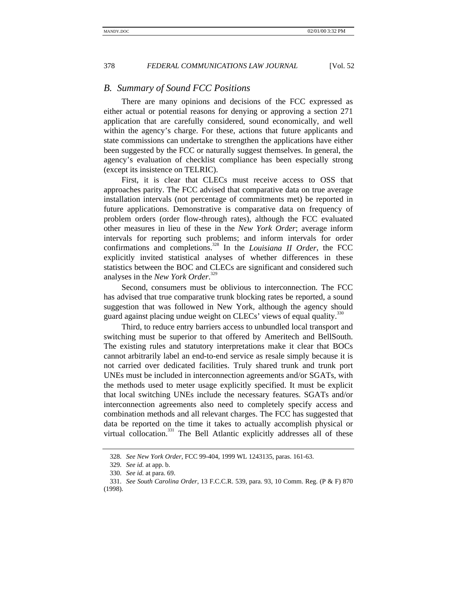# *B. Summary of Sound FCC Positions*

There are many opinions and decisions of the FCC expressed as either actual or potential reasons for denying or approving a section 271 application that are carefully considered, sound economically, and well within the agency's charge. For these, actions that future applicants and state commissions can undertake to strengthen the applications have either been suggested by the FCC or naturally suggest themselves. In general, the agency's evaluation of checklist compliance has been especially strong (except its insistence on TELRIC).

First, it is clear that CLECs must receive access to OSS that approaches parity. The FCC advised that comparative data on true average installation intervals (not percentage of commitments met) be reported in future applications. Demonstrative is comparative data on frequency of problem orders (order flow-through rates), although the FCC evaluated other measures in lieu of these in the *New York Order*; average inform intervals for reporting such problems; and inform intervals for order confirmations and completions.328 In the *Louisiana II Order*, the FCC explicitly invited statistical analyses of whether differences in these statistics between the BOC and CLECs are significant and considered such analyses in the *New York Order*. 329

Second, consumers must be oblivious to interconnection. The FCC has advised that true comparative trunk blocking rates be reported, a sound suggestion that was followed in New York, although the agency should guard against placing undue weight on CLECs' views of equal quality.<sup>330</sup>

Third, to reduce entry barriers access to unbundled local transport and switching must be superior to that offered by Ameritech and BellSouth. The existing rules and statutory interpretations make it clear that BOCs cannot arbitrarily label an end-to-end service as resale simply because it is not carried over dedicated facilities. Truly shared trunk and trunk port UNEs must be included in interconnection agreements and/or SGATs, with the methods used to meter usage explicitly specified. It must be explicit that local switching UNEs include the necessary features. SGATs and/or interconnection agreements also need to completely specify access and combination methods and all relevant charges. The FCC has suggested that data be reported on the time it takes to actually accomplish physical or virtual collocation.<sup>331</sup> The Bell Atlantic explicitly addresses all of these

<sup>328.</sup> *See New York Order*, FCC 99-404, 1999 WL 1243135, paras. 161-63.

<sup>329.</sup> *See id.* at app. b.

<sup>330.</sup> *See id.* at para. 69.

<sup>331.</sup> *See South Carolina Order*, 13 F.C.C.R. 539, para. 93, 10 Comm. Reg. (P & F) 870 (1998).